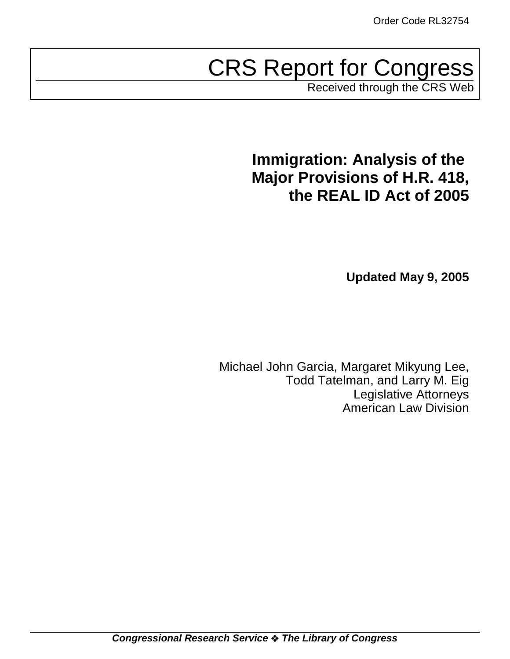# CRS Report for Congress

Received through the CRS Web

# **Immigration: Analysis of the Major Provisions of H.R. 418, the REAL ID Act of 2005**

**Updated May 9, 2005**

Michael John Garcia, Margaret Mikyung Lee, Todd Tatelman, and Larry M. Eig Legislative Attorneys American Law Division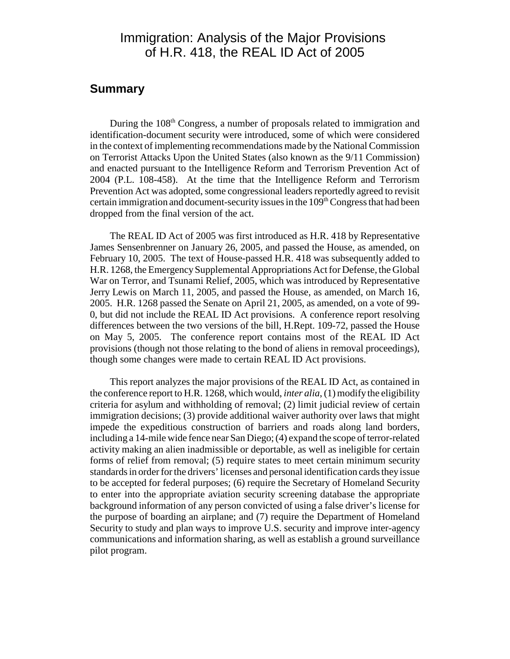### Immigration: Analysis of the Major Provisions of H.R. 418, the REAL ID Act of 2005

#### **Summary**

During the 108<sup>th</sup> Congress, a number of proposals related to immigration and identification-document security were introduced, some of which were considered in the context of implementing recommendations made by the National Commission on Terrorist Attacks Upon the United States (also known as the 9/11 Commission) and enacted pursuant to the Intelligence Reform and Terrorism Prevention Act of 2004 (P.L. 108-458). At the time that the Intelligence Reform and Terrorism Prevention Act was adopted, some congressional leaders reportedly agreed to revisit certain immigration and document-security issues in the  $109<sup>th</sup>$  Congress that had been dropped from the final version of the act.

The REAL ID Act of 2005 was first introduced as H.R. 418 by Representative James Sensenbrenner on January 26, 2005, and passed the House, as amended, on February 10, 2005. The text of House-passed H.R. 418 was subsequently added to H.R. 1268, the Emergency Supplemental Appropriations Act for Defense, the Global War on Terror, and Tsunami Relief, 2005, which was introduced by Representative Jerry Lewis on March 11, 2005, and passed the House, as amended, on March 16, 2005. H.R. 1268 passed the Senate on April 21, 2005, as amended, on a vote of 99- 0, but did not include the REAL ID Act provisions. A conference report resolving differences between the two versions of the bill, H.Rept. 109-72, passed the House on May 5, 2005. The conference report contains most of the REAL ID Act provisions (though not those relating to the bond of aliens in removal proceedings), though some changes were made to certain REAL ID Act provisions.

This report analyzes the major provisions of the REAL ID Act, as contained in the conference report to H.R. 1268, which would, *inter alia*, (1) modify the eligibility criteria for asylum and withholding of removal; (2) limit judicial review of certain immigration decisions; (3) provide additional waiver authority over laws that might impede the expeditious construction of barriers and roads along land borders, including a 14-mile wide fence near San Diego; (4) expand the scope of terror-related activity making an alien inadmissible or deportable, as well as ineligible for certain forms of relief from removal; (5) require states to meet certain minimum security standards in order for the drivers' licenses and personal identification cards they issue to be accepted for federal purposes; (6) require the Secretary of Homeland Security to enter into the appropriate aviation security screening database the appropriate background information of any person convicted of using a false driver's license for the purpose of boarding an airplane; and (7) require the Department of Homeland Security to study and plan ways to improve U.S. security and improve inter-agency communications and information sharing, as well as establish a ground surveillance pilot program.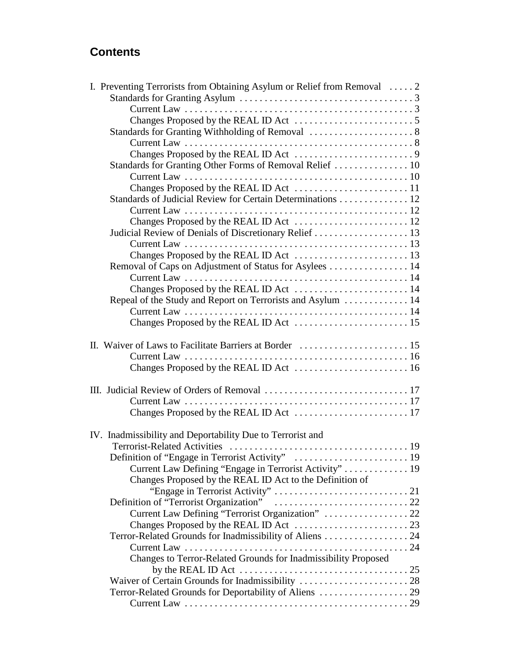### **Contents**

| I. Preventing Terrorists from Obtaining Asylum or Relief from Removal  2        |  |
|---------------------------------------------------------------------------------|--|
|                                                                                 |  |
|                                                                                 |  |
|                                                                                 |  |
|                                                                                 |  |
|                                                                                 |  |
|                                                                                 |  |
| Standards for Granting Other Forms of Removal Relief  10                        |  |
|                                                                                 |  |
|                                                                                 |  |
| Standards of Judicial Review for Certain Determinations 12                      |  |
|                                                                                 |  |
|                                                                                 |  |
|                                                                                 |  |
|                                                                                 |  |
|                                                                                 |  |
| Removal of Caps on Adjustment of Status for Asylees  14                         |  |
|                                                                                 |  |
|                                                                                 |  |
| Repeal of the Study and Report on Terrorists and Asylum  14                     |  |
|                                                                                 |  |
|                                                                                 |  |
|                                                                                 |  |
|                                                                                 |  |
|                                                                                 |  |
|                                                                                 |  |
|                                                                                 |  |
|                                                                                 |  |
|                                                                                 |  |
|                                                                                 |  |
|                                                                                 |  |
| IV. Inadmissibility and Deportability Due to Terrorist and                      |  |
|                                                                                 |  |
|                                                                                 |  |
| Current Law Defining "Engage in Terrorist Activity"  19                         |  |
| Changes Proposed by the REAL ID Act to the Definition of                        |  |
|                                                                                 |  |
|                                                                                 |  |
| Current Law Defining "Terrorist Organization"  22                               |  |
|                                                                                 |  |
|                                                                                 |  |
| Terror-Related Grounds for Inadmissibility of Aliens 24                         |  |
|                                                                                 |  |
| Changes to Terror-Related Grounds for Inadmissibility Proposed                  |  |
| by the REAL ID Act $\dots\dots\dots\dots\dots\dots\dots\dots\dots\dots\dots 25$ |  |
|                                                                                 |  |
|                                                                                 |  |
|                                                                                 |  |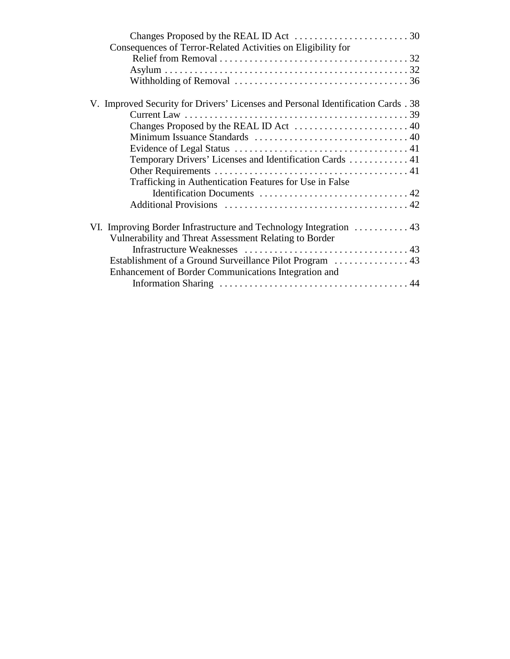| Consequences of Terror-Related Activities on Eligibility for                      |  |
|-----------------------------------------------------------------------------------|--|
|                                                                                   |  |
|                                                                                   |  |
|                                                                                   |  |
| V. Improved Security for Drivers' Licenses and Personal Identification Cards . 38 |  |
|                                                                                   |  |
|                                                                                   |  |
|                                                                                   |  |
|                                                                                   |  |
| Temporary Drivers' Licenses and Identification Cards  41                          |  |
|                                                                                   |  |
| Trafficking in Authentication Features for Use in False                           |  |
|                                                                                   |  |
|                                                                                   |  |
| VI. Improving Border Infrastructure and Technology Integration  43                |  |
| Vulnerability and Threat Assessment Relating to Border                            |  |
|                                                                                   |  |
|                                                                                   |  |
| Enhancement of Border Communications Integration and                              |  |
|                                                                                   |  |
|                                                                                   |  |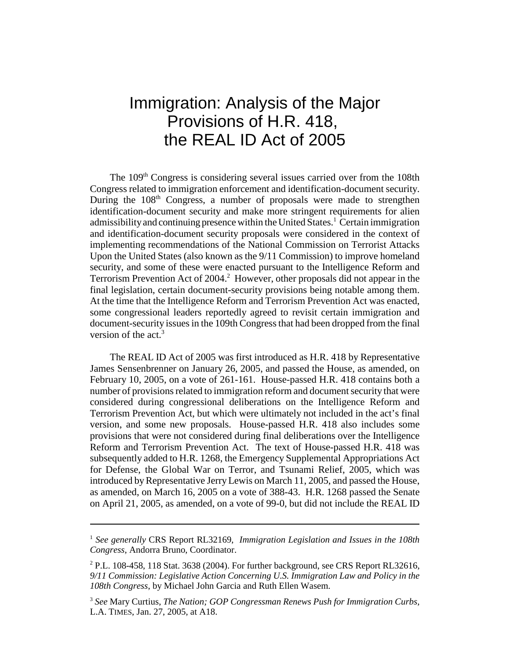# Immigration: Analysis of the Major Provisions of H.R. 418, the REAL ID Act of 2005

The 109<sup>th</sup> Congress is considering several issues carried over from the 108th Congress related to immigration enforcement and identification-document security. During the  $108<sup>th</sup>$  Congress, a number of proposals were made to strengthen identification-document security and make more stringent requirements for alien admissibility and continuing presence within the United States.<sup>1</sup> Certain immigration and identification-document security proposals were considered in the context of implementing recommendations of the National Commission on Terrorist Attacks Upon the United States (also known as the 9/11 Commission) to improve homeland security, and some of these were enacted pursuant to the Intelligence Reform and Terrorism Prevention Act of 2004.<sup>2</sup> However, other proposals did not appear in the final legislation, certain document-security provisions being notable among them. At the time that the Intelligence Reform and Terrorism Prevention Act was enacted, some congressional leaders reportedly agreed to revisit certain immigration and document-security issues in the 109th Congress that had been dropped from the final version of the act.<sup>3</sup>

The REAL ID Act of 2005 was first introduced as H.R. 418 by Representative James Sensenbrenner on January 26, 2005, and passed the House, as amended, on February 10, 2005, on a vote of 261-161. House-passed H.R. 418 contains both a number of provisions related to immigration reform and document security that were considered during congressional deliberations on the Intelligence Reform and Terrorism Prevention Act, but which were ultimately not included in the act's final version, and some new proposals. House-passed H.R. 418 also includes some provisions that were not considered during final deliberations over the Intelligence Reform and Terrorism Prevention Act. The text of House-passed H.R. 418 was subsequently added to H.R. 1268, the Emergency Supplemental Appropriations Act for Defense, the Global War on Terror, and Tsunami Relief, 2005, which was introduced by Representative Jerry Lewis on March 11, 2005, and passed the House, as amended, on March 16, 2005 on a vote of 388-43. H.R. 1268 passed the Senate on April 21, 2005, as amended, on a vote of 99-0, but did not include the REAL ID

<sup>1</sup> *See generally* CRS Report RL32169, *Immigration Legislation and Issues in the 108th Congress*, Andorra Bruno, Coordinator.

 $2$  P.L. 108-458, 118 Stat. 3638 (2004). For further background, see CRS Report RL32616, *9/11 Commission: Legislative Action Concerning U.S. Immigration Law and Policy in the 108th Congress*, by Michael John Garcia and Ruth Ellen Wasem.

<sup>3</sup> *See* Mary Curtius, *The Nation; GOP Congressman Renews Push for Immigration Curbs*, L.A. TIMES, Jan. 27, 2005, at A18.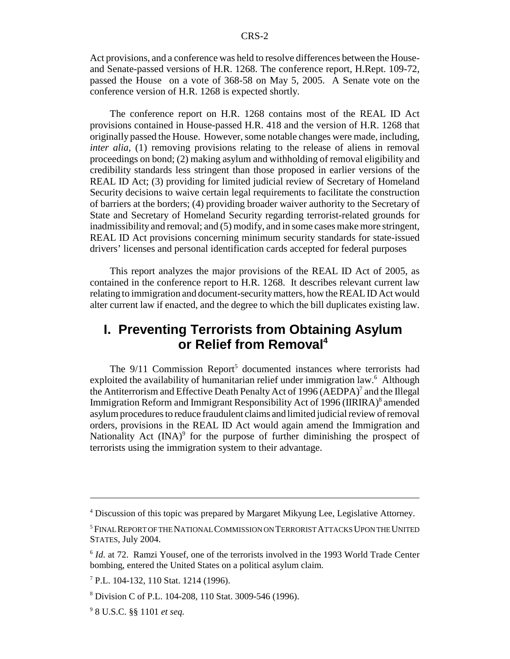Act provisions, and a conference was held to resolve differences between the Houseand Senate-passed versions of H.R. 1268. The conference report, H.Rept. 109-72, passed the House on a vote of 368-58 on May 5, 2005. A Senate vote on the conference version of H.R. 1268 is expected shortly.

The conference report on H.R. 1268 contains most of the REAL ID Act provisions contained in House-passed H.R. 418 and the version of H.R. 1268 that originally passed the House. However, some notable changes were made, including, *inter alia*, (1) removing provisions relating to the release of aliens in removal proceedings on bond; (2) making asylum and withholding of removal eligibility and credibility standards less stringent than those proposed in earlier versions of the REAL ID Act; (3) providing for limited judicial review of Secretary of Homeland Security decisions to waive certain legal requirements to facilitate the construction of barriers at the borders; (4) providing broader waiver authority to the Secretary of State and Secretary of Homeland Security regarding terrorist-related grounds for inadmissibility and removal; and (5) modify, and in some cases make more stringent, REAL ID Act provisions concerning minimum security standards for state-issued drivers' licenses and personal identification cards accepted for federal purposes

This report analyzes the major provisions of the REAL ID Act of 2005, as contained in the conference report to H.R. 1268. It describes relevant current law relating to immigration and document-security matters, how the REAL ID Act would alter current law if enacted, and the degree to which the bill duplicates existing law.

### **I. Preventing Terrorists from Obtaining Asylum or Relief from Removal<sup>4</sup>**

The  $9/11$  Commission Report<sup>5</sup> documented instances where terrorists had exploited the availability of humanitarian relief under immigration law.<sup>6</sup> Although the Antiterrorism and Effective Death Penalty Act of 1996 (AEDPA)<sup>7</sup> and the Illegal Immigration Reform and Immigrant Responsibility Act of 1996 (IIRIRA)<sup>8</sup> amended asylum procedures to reduce fraudulent claims and limited judicial review of removal orders, provisions in the REAL ID Act would again amend the Immigration and Nationality Act  $(INA)^9$  for the purpose of further diminishing the prospect of terrorists using the immigration system to their advantage.

<sup>&</sup>lt;sup>4</sup> Discussion of this topic was prepared by Margaret Mikyung Lee, Legislative Attorney.

<sup>&</sup>lt;sup>5</sup> FINAL REPORT OF THE NATIONAL COMMISSION ON TERRORIST ATTACKS UPON THE UNITED STATES, July 2004.

<sup>6</sup> *Id.* at 72. Ramzi Yousef, one of the terrorists involved in the 1993 World Trade Center bombing, entered the United States on a political asylum claim.

<sup>7</sup> P.L. 104-132, 110 Stat. 1214 (1996).

<sup>8</sup> Division C of P.L. 104-208, 110 Stat. 3009-546 (1996).

<sup>9</sup> 8 U.S.C. §§ 1101 *et seq.*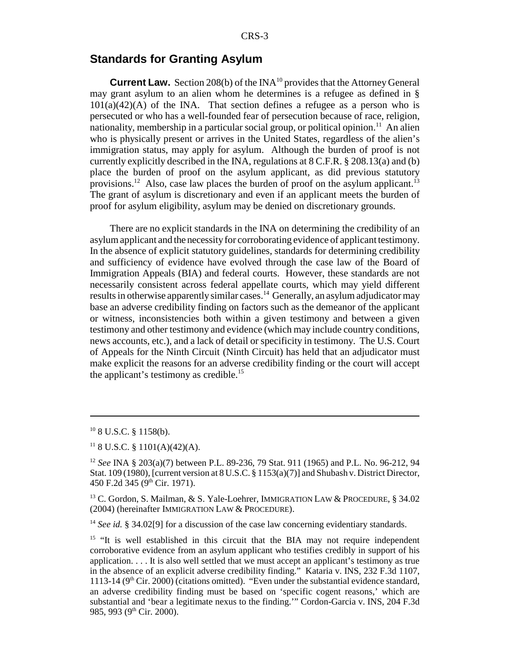#### **Standards for Granting Asylum**

**Current Law.** Section 208(b) of the INA<sup>10</sup> provides that the Attorney General may grant asylum to an alien whom he determines is a refugee as defined in §  $101(a)(42)(A)$  of the INA. That section defines a refugee as a person who is persecuted or who has a well-founded fear of persecution because of race, religion, nationality, membership in a particular social group, or political opinion.<sup>11</sup> An alien who is physically present or arrives in the United States, regardless of the alien's immigration status, may apply for asylum. Although the burden of proof is not currently explicitly described in the INA, regulations at 8 C.F.R. § 208.13(a) and (b) place the burden of proof on the asylum applicant, as did previous statutory provisions.<sup>12</sup> Also, case law places the burden of proof on the asylum applicant.<sup>13</sup> The grant of asylum is discretionary and even if an applicant meets the burden of proof for asylum eligibility, asylum may be denied on discretionary grounds.

There are no explicit standards in the INA on determining the credibility of an asylum applicant and the necessity for corroborating evidence of applicant testimony. In the absence of explicit statutory guidelines, standards for determining credibility and sufficiency of evidence have evolved through the case law of the Board of Immigration Appeals (BIA) and federal courts. However, these standards are not necessarily consistent across federal appellate courts, which may yield different results in otherwise apparently similar cases.<sup>14</sup> Generally, an asylum adjudicator may base an adverse credibility finding on factors such as the demeanor of the applicant or witness, inconsistencies both within a given testimony and between a given testimony and other testimony and evidence (which may include country conditions, news accounts, etc.), and a lack of detail or specificity in testimony. The U.S. Court of Appeals for the Ninth Circuit (Ninth Circuit) has held that an adjudicator must make explicit the reasons for an adverse credibility finding or the court will accept the applicant's testimony as credible.<sup>15</sup>

<sup>10 8</sup> U.S.C. § 1158(b).

 $11$  8 U.S.C. § 1101(A)(42)(A).

<sup>12</sup> *See* INA § 203(a)(7) between P.L. 89-236, 79 Stat. 911 (1965) and P.L. No. 96-212, 94 Stat. 109 (1980), [current version at 8 U.S.C. § 1153(a)(7)] and Shubash v. District Director, 450 F.2d 345 (9<sup>th</sup> Cir. 1971).

<sup>&</sup>lt;sup>13</sup> C. Gordon, S. Mailman, & S. Yale-Loehrer, IMMIGRATION LAW & PROCEDURE, § 34.02 (2004) (hereinafter IMMIGRATION LAW & PROCEDURE).

<sup>&</sup>lt;sup>14</sup> *See id.* § 34.02[9] for a discussion of the case law concerning evidentiary standards.

 $15$  "It is well established in this circuit that the BIA may not require independent corroborative evidence from an asylum applicant who testifies credibly in support of his application. . . . It is also well settled that we must accept an applicant's testimony as true in the absence of an explicit adverse credibility finding." Kataria v. INS, 232 F.3d 1107, 1113-14 ( $9<sup>th</sup>$  Cir. 2000) (citations omitted). "Even under the substantial evidence standard, an adverse credibility finding must be based on 'specific cogent reasons,' which are substantial and 'bear a legitimate nexus to the finding.'" Cordon-Garcia v. INS, 204 F.3d 985, 993 (9<sup>th</sup> Cir. 2000).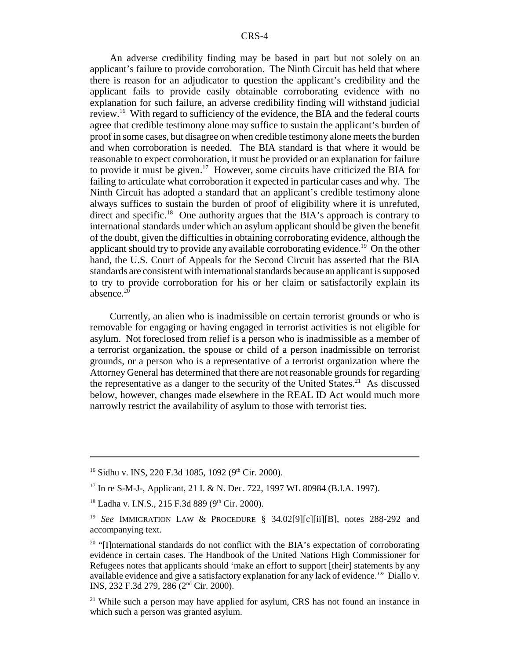An adverse credibility finding may be based in part but not solely on an applicant's failure to provide corroboration. The Ninth Circuit has held that where there is reason for an adjudicator to question the applicant's credibility and the applicant fails to provide easily obtainable corroborating evidence with no explanation for such failure, an adverse credibility finding will withstand judicial review.16 With regard to sufficiency of the evidence, the BIA and the federal courts agree that credible testimony alone may suffice to sustain the applicant's burden of proof in some cases, but disagree on when credible testimony alone meets the burden and when corroboration is needed. The BIA standard is that where it would be reasonable to expect corroboration, it must be provided or an explanation for failure to provide it must be given.<sup>17</sup> However, some circuits have criticized the BIA for failing to articulate what corroboration it expected in particular cases and why. The Ninth Circuit has adopted a standard that an applicant's credible testimony alone always suffices to sustain the burden of proof of eligibility where it is unrefuted, direct and specific.<sup>18</sup> One authority argues that the BIA's approach is contrary to international standards under which an asylum applicant should be given the benefit of the doubt, given the difficulties in obtaining corroborating evidence, although the applicant should try to provide any available corroborating evidence.<sup>19</sup> On the other hand, the U.S. Court of Appeals for the Second Circuit has asserted that the BIA standards are consistent with international standards because an applicant is supposed to try to provide corroboration for his or her claim or satisfactorily explain its absence.<sup>20</sup>

Currently, an alien who is inadmissible on certain terrorist grounds or who is removable for engaging or having engaged in terrorist activities is not eligible for asylum. Not foreclosed from relief is a person who is inadmissible as a member of a terrorist organization, the spouse or child of a person inadmissible on terrorist grounds, or a person who is a representative of a terrorist organization where the Attorney General has determined that there are not reasonable grounds for regarding the representative as a danger to the security of the United States.<sup>21</sup> As discussed below, however, changes made elsewhere in the REAL ID Act would much more narrowly restrict the availability of asylum to those with terrorist ties.

 $16$  Sidhu v. INS, 220 F.3d 1085, 1092 (9<sup>th</sup> Cir. 2000).

<sup>17</sup> In re S-M-J-, Applicant, 21 I. & N. Dec. 722, 1997 WL 80984 (B.I.A. 1997).

 $18$  Ladha v. I.N.S., 215 F.3d 889 (9<sup>th</sup> Cir. 2000).

<sup>19</sup> *See* IMMIGRATION LAW & PROCEDURE § 34.02[9][c][ii][B], notes 288-292 and accompanying text.

<sup>&</sup>lt;sup>20</sup> "[I]nternational standards do not conflict with the BIA's expectation of corroborating evidence in certain cases. The Handbook of the United Nations High Commissioner for Refugees notes that applicants should 'make an effort to support [their] statements by any available evidence and give a satisfactory explanation for any lack of evidence.'" Diallo v. INS, 232 F.3d 279, 286 (2nd Cir. 2000).

 $21$  While such a person may have applied for asylum, CRS has not found an instance in which such a person was granted asylum.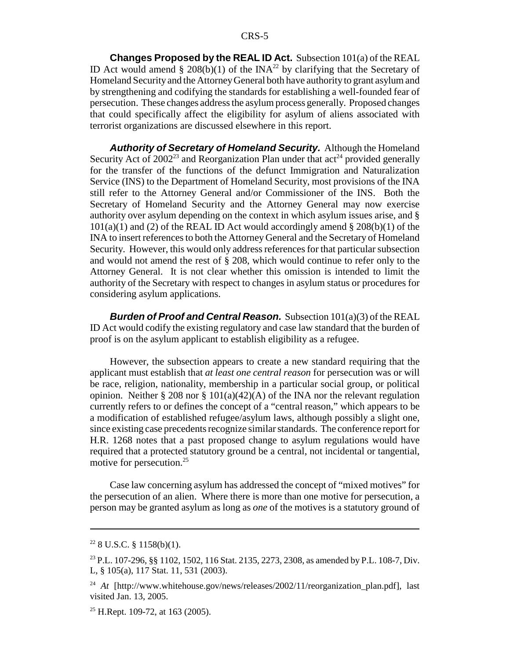**Changes Proposed by the REAL ID Act.** Subsection 101(a) of the REAL ID Act would amend § 208(b)(1) of the INA<sup>22</sup> by clarifying that the Secretary of Homeland Security and the Attorney General both have authority to grant asylum and by strengthening and codifying the standards for establishing a well-founded fear of persecution. These changes address the asylum process generally. Proposed changes that could specifically affect the eligibility for asylum of aliens associated with terrorist organizations are discussed elsewhere in this report.

*Authority of Secretary of Homeland Security.* Although the Homeland Security Act of  $2002^{23}$  and Reorganization Plan under that act<sup>24</sup> provided generally for the transfer of the functions of the defunct Immigration and Naturalization Service (INS) to the Department of Homeland Security, most provisions of the INA still refer to the Attorney General and/or Commissioner of the INS. Both the Secretary of Homeland Security and the Attorney General may now exercise authority over asylum depending on the context in which asylum issues arise, and §  $101(a)(1)$  and (2) of the REAL ID Act would accordingly amend § 208(b)(1) of the INA to insert references to both the Attorney General and the Secretary of Homeland Security. However, this would only address references for that particular subsection and would not amend the rest of § 208, which would continue to refer only to the Attorney General. It is not clear whether this omission is intended to limit the authority of the Secretary with respect to changes in asylum status or procedures for considering asylum applications.

*Burden of Proof and Central Reason.* Subsection 101(a)(3) of the REAL ID Act would codify the existing regulatory and case law standard that the burden of proof is on the asylum applicant to establish eligibility as a refugee.

However, the subsection appears to create a new standard requiring that the applicant must establish that *at least one central reason* for persecution was or will be race, religion, nationality, membership in a particular social group, or political opinion. Neither § 208 nor § 101(a)(42)(A) of the INA nor the relevant regulation currently refers to or defines the concept of a "central reason," which appears to be a modification of established refugee/asylum laws, although possibly a slight one, since existing case precedents recognize similar standards. The conference report for H.R. 1268 notes that a past proposed change to asylum regulations would have required that a protected statutory ground be a central, not incidental or tangential, motive for persecution.<sup>25</sup>

Case law concerning asylum has addressed the concept of "mixed motives" for the persecution of an alien. Where there is more than one motive for persecution, a person may be granted asylum as long as *one* of the motives is a statutory ground of

 $22$  8 U.S.C. § 1158(b)(1).

<sup>23</sup> P.L. 107-296, §§ 1102, 1502, 116 Stat. 2135, 2273, 2308, as amended by P.L. 108-7, Div. L, § 105(a), 117 Stat. 11, 531 (2003).

<sup>&</sup>lt;sup>24</sup> *At* [http://www.whitehouse.gov/news/releases/2002/11/reorganization\_plan.pdf], last visited Jan. 13, 2005.

 $25$  H.Rept. 109-72, at 163 (2005).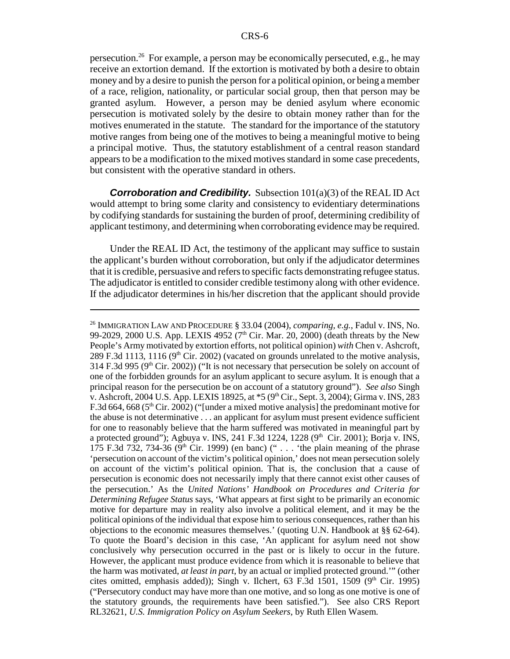persecution.26 For example, a person may be economically persecuted, e.g., he may receive an extortion demand. If the extortion is motivated by both a desire to obtain money and by a desire to punish the person for a political opinion, or being a member of a race, religion, nationality, or particular social group, then that person may be granted asylum. However, a person may be denied asylum where economic persecution is motivated solely by the desire to obtain money rather than for the motives enumerated in the statute. The standard for the importance of the statutory motive ranges from being one of the motives to being a meaningful motive to being a principal motive. Thus, the statutory establishment of a central reason standard appears to be a modification to the mixed motives standard in some case precedents, but consistent with the operative standard in others.

**Corroboration and Credibility.** Subsection  $101(a)(3)$  of the REAL ID Act would attempt to bring some clarity and consistency to evidentiary determinations by codifying standards for sustaining the burden of proof, determining credibility of applicant testimony, and determining when corroborating evidence may be required.

Under the REAL ID Act, the testimony of the applicant may suffice to sustain the applicant's burden without corroboration, but only if the adjudicator determines that it is credible, persuasive and refers to specific facts demonstrating refugee status. The adjudicator is entitled to consider credible testimony along with other evidence. If the adjudicator determines in his/her discretion that the applicant should provide

<sup>26</sup> IMMIGRATION LAW AND PROCEDURE § 33.04 (2004), *comparing, e.g.*, Fadul v. INS, No. 99-2029, 2000 U.S. App. LEXIS 4952 ( $7<sup>th</sup>$  Cir. Mar. 20, 2000) (death threats by the New People's Army motivated by extortion efforts, not political opinion) *with* Chen v. Ashcroft, 289 F.3d 1113, 1116 ( $9<sup>th</sup>$  Cir. 2002) (vacated on grounds unrelated to the motive analysis, 314 F.3d 995 ( $9<sup>th</sup>$  Cir. 2002)) ("It is not necessary that persecution be solely on account of one of the forbidden grounds for an asylum applicant to secure asylum. It is enough that a principal reason for the persecution be on account of a statutory ground"). *See also* Singh v. Ashcroft, 2004 U.S. App. LEXIS 18925, at  $*5$  (9<sup>th</sup> Cir., Sept. 3, 2004); Girma v. INS, 283 F.3d 664, 668 ( $5<sup>th</sup>$  Cir. 2002) ("[under a mixed motive analysis] the predominant motive for the abuse is not determinative . . . an applicant for asylum must present evidence sufficient for one to reasonably believe that the harm suffered was motivated in meaningful part by a protected ground"); Agbuya v. INS, 241 F.3d 1224, 1228 ( $9<sup>th</sup>$  Cir. 2001); Borja v. INS, 175 F.3d 732, 734-36 ( $9<sup>th</sup>$  Cir. 1999) (en banc) (" . . . 'the plain meaning of the phrase 'persecution on account of the victim's political opinion,' does not mean persecution solely on account of the victim's political opinion. That is, the conclusion that a cause of persecution is economic does not necessarily imply that there cannot exist other causes of the persecution.' As the *United Nations' Handbook on Procedures and Criteria for Determining Refugee Status* says, 'What appears at first sight to be primarily an economic motive for departure may in reality also involve a political element, and it may be the political opinions of the individual that expose him to serious consequences, rather than his objections to the economic measures themselves.' (quoting U.N. Handbook at §§ 62-64). To quote the Board's decision in this case, 'An applicant for asylum need not show conclusively why persecution occurred in the past or is likely to occur in the future. However, the applicant must produce evidence from which it is reasonable to believe that the harm was motivated, *at least in part*, by an actual or implied protected ground.'" (other cites omitted, emphasis added)); Singh v. Ilchert, 63 F.3d 1501, 1509 ( $9<sup>th</sup>$  Cir. 1995) ("Persecutory conduct may have more than one motive, and so long as one motive is one of the statutory grounds, the requirements have been satisfied."). See also CRS Report RL32621, *U.S. Immigration Policy on Asylum Seekers*, by Ruth Ellen Wasem.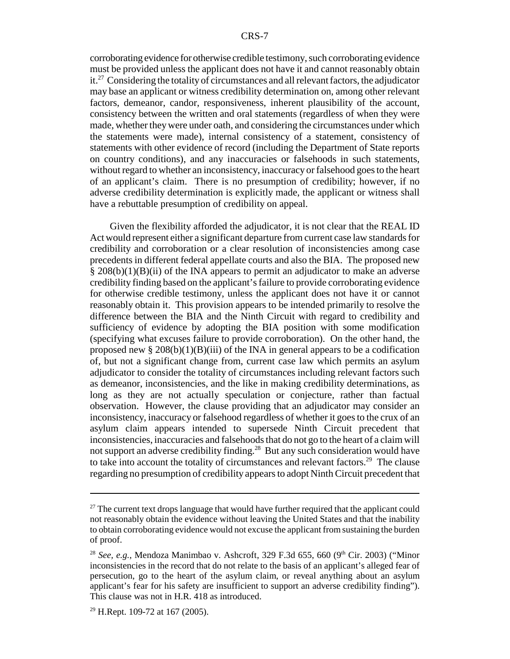corroborating evidence for otherwise credible testimony, such corroborating evidence must be provided unless the applicant does not have it and cannot reasonably obtain  $it.^{27}$  Considering the totality of circumstances and all relevant factors, the adjudicator may base an applicant or witness credibility determination on, among other relevant factors, demeanor, candor, responsiveness, inherent plausibility of the account, consistency between the written and oral statements (regardless of when they were made, whether they were under oath, and considering the circumstances under which the statements were made), internal consistency of a statement, consistency of statements with other evidence of record (including the Department of State reports on country conditions), and any inaccuracies or falsehoods in such statements, without regard to whether an inconsistency, inaccuracy or falsehood goes to the heart of an applicant's claim. There is no presumption of credibility; however, if no adverse credibility determination is explicitly made, the applicant or witness shall have a rebuttable presumption of credibility on appeal.

Given the flexibility afforded the adjudicator, it is not clear that the REAL ID Act would represent either a significant departure from current case law standards for credibility and corroboration or a clear resolution of inconsistencies among case precedents in different federal appellate courts and also the BIA. The proposed new  $\S 208(b)(1)(B)(ii)$  of the INA appears to permit an adjudicator to make an adverse credibility finding based on the applicant's failure to provide corroborating evidence for otherwise credible testimony, unless the applicant does not have it or cannot reasonably obtain it. This provision appears to be intended primarily to resolve the difference between the BIA and the Ninth Circuit with regard to credibility and sufficiency of evidence by adopting the BIA position with some modification (specifying what excuses failure to provide corroboration). On the other hand, the proposed new  $\S 208(b)(1)(B)(iii)$  of the INA in general appears to be a codification of, but not a significant change from, current case law which permits an asylum adjudicator to consider the totality of circumstances including relevant factors such as demeanor, inconsistencies, and the like in making credibility determinations, as long as they are not actually speculation or conjecture, rather than factual observation. However, the clause providing that an adjudicator may consider an inconsistency, inaccuracy or falsehood regardless of whether it goes to the crux of an asylum claim appears intended to supersede Ninth Circuit precedent that inconsistencies, inaccuracies and falsehoods that do not go to the heart of a claim will not support an adverse credibility finding.28 But any such consideration would have to take into account the totality of circumstances and relevant factors.<sup>29</sup> The clause regarding no presumption of credibility appears to adopt Ninth Circuit precedent that

 $27$  The current text drops language that would have further required that the applicant could not reasonably obtain the evidence without leaving the United States and that the inability to obtain corroborating evidence would not excuse the applicant from sustaining the burden of proof.

<sup>&</sup>lt;sup>28</sup> *See, e.g.*, Mendoza Manimbao v. Ashcroft, 329 F.3d 655, 660 (9<sup>th</sup> Cir. 2003) ("Minor inconsistencies in the record that do not relate to the basis of an applicant's alleged fear of persecution, go to the heart of the asylum claim, or reveal anything about an asylum applicant's fear for his safety are insufficient to support an adverse credibility finding"). This clause was not in H.R. 418 as introduced.

 $29$  H.Rept. 109-72 at 167 (2005).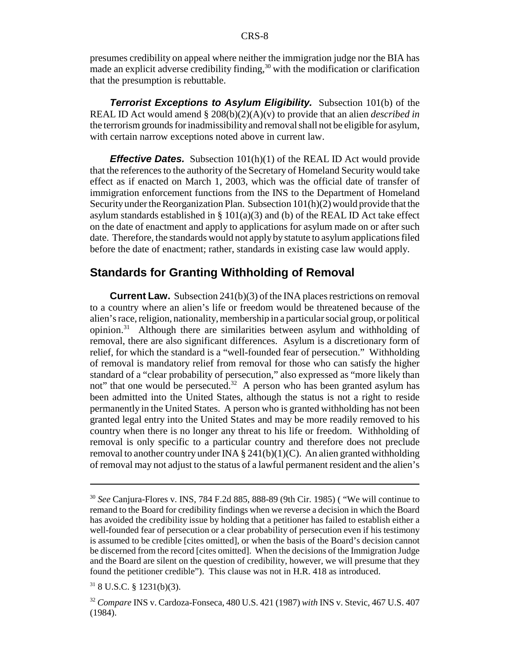presumes credibility on appeal where neither the immigration judge nor the BIA has made an explicit adverse credibility finding,  $30$  with the modification or clarification that the presumption is rebuttable.

*Terrorist Exceptions to Asylum Eligibility.* Subsection 101(b) of the REAL ID Act would amend § 208(b)(2)(A)(v) to provide that an alien *described in* the terrorism grounds for inadmissibility and removal shall not be eligible for asylum, with certain narrow exceptions noted above in current law.

*Effective Dates.* Subsection 101(h)(1) of the REAL ID Act would provide that the references to the authority of the Secretary of Homeland Security would take effect as if enacted on March 1, 2003, which was the official date of transfer of immigration enforcement functions from the INS to the Department of Homeland Security under the Reorganization Plan. Subsection 101(h)(2) would provide that the asylum standards established in  $\S$  101(a)(3) and (b) of the REAL ID Act take effect on the date of enactment and apply to applications for asylum made on or after such date. Therefore, the standards would not apply by statute to asylum applications filed before the date of enactment; rather, standards in existing case law would apply.

### **Standards for Granting Withholding of Removal**

**Current Law.** Subsection 241(b)(3) of the INA places restrictions on removal to a country where an alien's life or freedom would be threatened because of the alien's race, religion, nationality, membership in a particular social group, or political opinion.31 Although there are similarities between asylum and withholding of removal, there are also significant differences. Asylum is a discretionary form of relief, for which the standard is a "well-founded fear of persecution." Withholding of removal is mandatory relief from removal for those who can satisfy the higher standard of a "clear probability of persecution," also expressed as "more likely than not" that one would be persecuted.<sup>32</sup> A person who has been granted asylum has been admitted into the United States, although the status is not a right to reside permanently in the United States. A person who is granted withholding has not been granted legal entry into the United States and may be more readily removed to his country when there is no longer any threat to his life or freedom. Withholding of removal is only specific to a particular country and therefore does not preclude removal to another country under INA  $\S$  241(b)(1)(C). An alien granted withholding of removal may not adjust to the status of a lawful permanent resident and the alien's

<sup>30</sup> *See* Canjura-Flores v. INS, 784 F.2d 885, 888-89 (9th Cir. 1985) ( "We will continue to remand to the Board for credibility findings when we reverse a decision in which the Board has avoided the credibility issue by holding that a petitioner has failed to establish either a well-founded fear of persecution or a clear probability of persecution even if his testimony is assumed to be credible [cites omitted], or when the basis of the Board's decision cannot be discerned from the record [cites omitted]. When the decisions of the Immigration Judge and the Board are silent on the question of credibility, however, we will presume that they found the petitioner credible"). This clause was not in H.R. 418 as introduced.

 $318$  U.S.C. § 1231(b)(3).

<sup>32</sup> *Compare* INS v. Cardoza-Fonseca, 480 U.S. 421 (1987) *with* INS v. Stevic, 467 U.S. 407 (1984).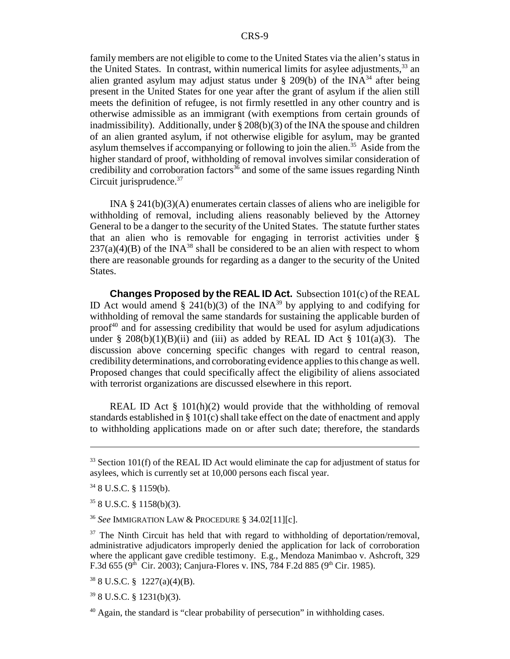family members are not eligible to come to the United States via the alien's status in the United States. In contrast, within numerical limits for asylee adjustments,  $33$  an alien granted asylum may adjust status under  $\S$  209(b) of the INA<sup>34</sup> after being present in the United States for one year after the grant of asylum if the alien still meets the definition of refugee, is not firmly resettled in any other country and is otherwise admissible as an immigrant (with exemptions from certain grounds of inadmissibility). Additionally, under  $\S 208(b)(3)$  of the INA the spouse and children of an alien granted asylum, if not otherwise eligible for asylum, may be granted asylum themselves if accompanying or following to join the alien.<sup>35</sup> Aside from the higher standard of proof, withholding of removal involves similar consideration of credibility and corroboration factors $36$  and some of the same issues regarding Ninth Circuit jurisprudence.<sup>37</sup>

INA § 241(b)(3)(A) enumerates certain classes of aliens who are ineligible for withholding of removal, including aliens reasonably believed by the Attorney General to be a danger to the security of the United States. The statute further states that an alien who is removable for engaging in terrorist activities under §  $237(a)(4)(B)$  of the INA<sup>38</sup> shall be considered to be an alien with respect to whom there are reasonable grounds for regarding as a danger to the security of the United States.

**Changes Proposed by the REAL ID Act.** Subsection 101(c) of the REAL ID Act would amend § 241(b)(3) of the INA<sup>39</sup> by applying to and codifying for withholding of removal the same standards for sustaining the applicable burden of proof<sup> $40$ </sup> and for assessing credibility that would be used for asylum adjudications under § 208(b)(1)(B)(ii) and (iii) as added by REAL ID Act § 101(a)(3). The discussion above concerning specific changes with regard to central reason, credibility determinations, and corroborating evidence applies to this change as well. Proposed changes that could specifically affect the eligibility of aliens associated with terrorist organizations are discussed elsewhere in this report.

REAL ID Act  $\S$  101(h)(2) would provide that the withholding of removal standards established in § 101(c) shall take effect on the date of enactment and apply to withholding applications made on or after such date; therefore, the standards

<sup>36</sup> *See* IMMIGRATION LAW & PROCEDURE § 34.02[11][c].

 $37$  The Ninth Circuit has held that with regard to withholding of deportation/removal, administrative adjudicators improperly denied the application for lack of corroboration where the applicant gave credible testimony. E.g., Mendoza Manimbao v. Ashcroft, 329 F.3d 655 ( $9<sup>th</sup>$  Cir. 2003); Canjura-Flores v. INS, 784 F.2d 885 ( $9<sup>th</sup>$  Cir. 1985).

38 8 U.S.C. § 1227(a)(4)(B).

 $398$  U.S.C. § 1231(b)(3).

 $40$  Again, the standard is "clear probability of persecution" in withholding cases.

<sup>&</sup>lt;sup>33</sup> Section 101(f) of the REAL ID Act would eliminate the cap for adjustment of status for asylees, which is currently set at 10,000 persons each fiscal year.

<sup>34 8</sup> U.S.C. § 1159(b).

<sup>35 8</sup> U.S.C. § 1158(b)(3).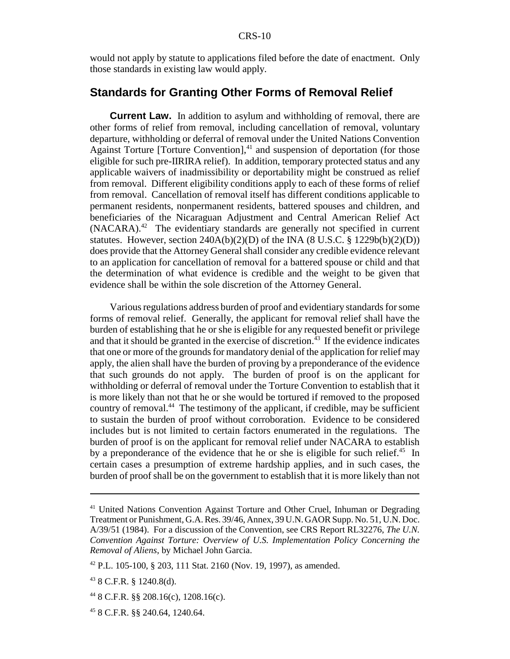would not apply by statute to applications filed before the date of enactment. Only those standards in existing law would apply.

#### **Standards for Granting Other Forms of Removal Relief**

**Current Law.** In addition to asylum and withholding of removal, there are other forms of relief from removal, including cancellation of removal, voluntary departure, withholding or deferral of removal under the United Nations Convention Against Torture [Torture Convention], $41$  and suspension of deportation (for those eligible for such pre-IIRIRA relief). In addition, temporary protected status and any applicable waivers of inadmissibility or deportability might be construed as relief from removal. Different eligibility conditions apply to each of these forms of relief from removal. Cancellation of removal itself has different conditions applicable to permanent residents, nonpermanent residents, battered spouses and children, and beneficiaries of the Nicaraguan Adjustment and Central American Relief Act  $(NACARA)^{42}$  The evidentiary standards are generally not specified in current statutes. However, section  $240A(b)(2)(D)$  of the INA (8 U.S.C. § 1229b(b)(2)(D)) does provide that the Attorney General shall consider any credible evidence relevant to an application for cancellation of removal for a battered spouse or child and that the determination of what evidence is credible and the weight to be given that evidence shall be within the sole discretion of the Attorney General.

Various regulations address burden of proof and evidentiary standards for some forms of removal relief. Generally, the applicant for removal relief shall have the burden of establishing that he or she is eligible for any requested benefit or privilege and that it should be granted in the exercise of discretion.<sup> $43$ </sup> If the evidence indicates that one or more of the grounds for mandatory denial of the application for relief may apply, the alien shall have the burden of proving by a preponderance of the evidence that such grounds do not apply. The burden of proof is on the applicant for withholding or deferral of removal under the Torture Convention to establish that it is more likely than not that he or she would be tortured if removed to the proposed country of removal.44 The testimony of the applicant, if credible, may be sufficient to sustain the burden of proof without corroboration. Evidence to be considered includes but is not limited to certain factors enumerated in the regulations. The burden of proof is on the applicant for removal relief under NACARA to establish by a preponderance of the evidence that he or she is eligible for such relief.<sup>45</sup> In certain cases a presumption of extreme hardship applies, and in such cases, the burden of proof shall be on the government to establish that it is more likely than not

<sup>41</sup> United Nations Convention Against Torture and Other Cruel, Inhuman or Degrading Treatment or Punishment, G.A. Res. 39/46, Annex, 39 U.N. GAOR Supp. No. 51, U.N. Doc. A/39/51 (1984). For a discussion of the Convention, see CRS Report RL32276, *The U.N. Convention Against Torture: Overview of U.S. Implementation Policy Concerning the Removal of Aliens*, by Michael John Garcia.

<sup>42</sup> P.L. 105-100, § 203, 111 Stat. 2160 (Nov. 19, 1997), as amended.

<sup>43 8</sup> C.F.R. § 1240.8(d).

 $^{44}$  8 C.F.R. §§ 208.16(c), 1208.16(c).

<sup>45 8</sup> C.F.R. §§ 240.64, 1240.64.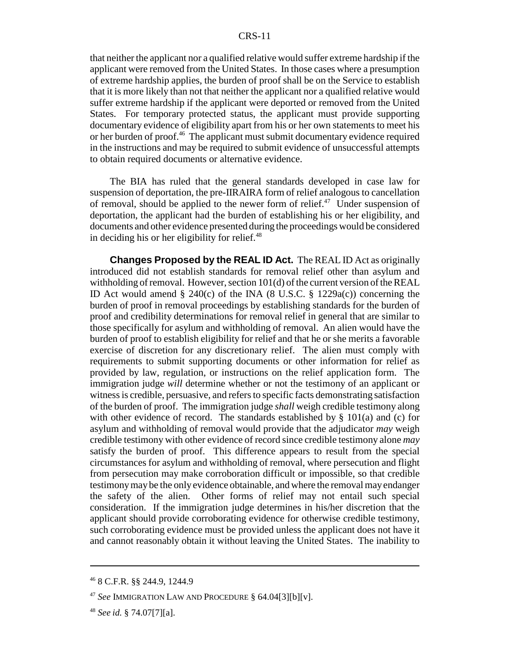that neither the applicant nor a qualified relative would suffer extreme hardship if the applicant were removed from the United States. In those cases where a presumption of extreme hardship applies, the burden of proof shall be on the Service to establish that it is more likely than not that neither the applicant nor a qualified relative would suffer extreme hardship if the applicant were deported or removed from the United States. For temporary protected status, the applicant must provide supporting documentary evidence of eligibility apart from his or her own statements to meet his or her burden of proof.46 The applicant must submit documentary evidence required in the instructions and may be required to submit evidence of unsuccessful attempts to obtain required documents or alternative evidence.

The BIA has ruled that the general standards developed in case law for suspension of deportation, the pre-IIRAIRA form of relief analogous to cancellation of removal, should be applied to the newer form of relief.<sup>47</sup> Under suspension of deportation, the applicant had the burden of establishing his or her eligibility, and documents and other evidence presented during the proceedings would be considered in deciding his or her eligibility for relief. $48$ 

**Changes Proposed by the REAL ID Act.** The REAL ID Act as originally introduced did not establish standards for removal relief other than asylum and withholding of removal. However, section 101(d) of the current version of the REAL ID Act would amend § 240(c) of the INA (8 U.S.C. § 1229a(c)) concerning the burden of proof in removal proceedings by establishing standards for the burden of proof and credibility determinations for removal relief in general that are similar to those specifically for asylum and withholding of removal. An alien would have the burden of proof to establish eligibility for relief and that he or she merits a favorable exercise of discretion for any discretionary relief. The alien must comply with requirements to submit supporting documents or other information for relief as provided by law, regulation, or instructions on the relief application form. The immigration judge *will* determine whether or not the testimony of an applicant or witness is credible, persuasive, and refers to specific facts demonstrating satisfaction of the burden of proof. The immigration judge *shall* weigh credible testimony along with other evidence of record. The standards established by  $\S$  101(a) and (c) for asylum and withholding of removal would provide that the adjudicator *may* weigh credible testimony with other evidence of record since credible testimony alone *may* satisfy the burden of proof. This difference appears to result from the special circumstances for asylum and withholding of removal, where persecution and flight from persecution may make corroboration difficult or impossible, so that credible testimony may be the only evidence obtainable, and where the removal may endanger the safety of the alien. Other forms of relief may not entail such special consideration. If the immigration judge determines in his/her discretion that the applicant should provide corroborating evidence for otherwise credible testimony, such corroborating evidence must be provided unless the applicant does not have it and cannot reasonably obtain it without leaving the United States. The inability to

<sup>46 8</sup> C.F.R. §§ 244.9, 1244.9

<sup>47</sup> *See* IMMIGRATION LAW AND PROCEDURE § 64.04[3][b][v].

<sup>48</sup> *See id.* § 74.07[7][a].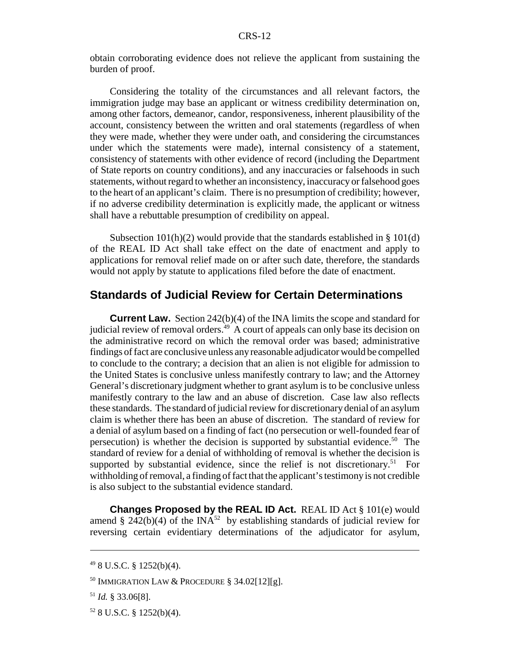obtain corroborating evidence does not relieve the applicant from sustaining the burden of proof.

Considering the totality of the circumstances and all relevant factors, the immigration judge may base an applicant or witness credibility determination on, among other factors, demeanor, candor, responsiveness, inherent plausibility of the account, consistency between the written and oral statements (regardless of when they were made, whether they were under oath, and considering the circumstances under which the statements were made), internal consistency of a statement, consistency of statements with other evidence of record (including the Department of State reports on country conditions), and any inaccuracies or falsehoods in such statements, without regard to whether an inconsistency, inaccuracy or falsehood goes to the heart of an applicant's claim. There is no presumption of credibility; however, if no adverse credibility determination is explicitly made, the applicant or witness shall have a rebuttable presumption of credibility on appeal.

Subsection  $101(h)(2)$  would provide that the standards established in § 101(d) of the REAL ID Act shall take effect on the date of enactment and apply to applications for removal relief made on or after such date, therefore, the standards would not apply by statute to applications filed before the date of enactment.

### **Standards of Judicial Review for Certain Determinations**

**Current Law.** Section 242(b)(4) of the INA limits the scope and standard for judicial review of removal orders.<sup>49</sup> A court of appeals can only base its decision on the administrative record on which the removal order was based; administrative findings of fact are conclusive unless any reasonable adjudicator would be compelled to conclude to the contrary; a decision that an alien is not eligible for admission to the United States is conclusive unless manifestly contrary to law; and the Attorney General's discretionary judgment whether to grant asylum is to be conclusive unless manifestly contrary to the law and an abuse of discretion. Case law also reflects these standards. The standard of judicial review for discretionary denial of an asylum claim is whether there has been an abuse of discretion. The standard of review for a denial of asylum based on a finding of fact (no persecution or well-founded fear of persecution) is whether the decision is supported by substantial evidence.<sup>50</sup> The standard of review for a denial of withholding of removal is whether the decision is supported by substantial evidence, since the relief is not discretionary.<sup>51</sup> For withholding of removal, a finding of fact that the applicant's testimony is not credible is also subject to the substantial evidence standard.

**Changes Proposed by the REAL ID Act.** REAL ID Act § 101(e) would amend § 242(b)(4) of the INA<sup>52</sup> by establishing standards of judicial review for reversing certain evidentiary determinations of the adjudicator for asylum,

<sup>49 8</sup> U.S.C. § 1252(b)(4).

<sup>50</sup> IMMIGRATION LAW & PROCEDURE § 34.02[12][g].

<sup>51</sup> *Id.* § 33.06[8].

 $52$  8 U.S.C. § 1252(b)(4).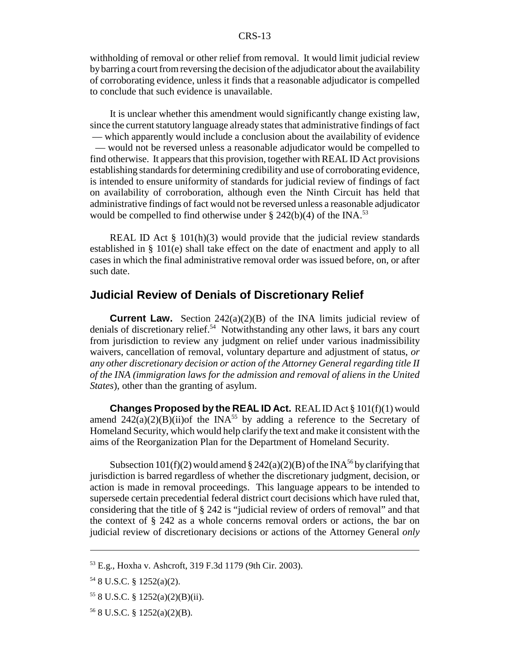withholding of removal or other relief from removal. It would limit judicial review by barring a court from reversing the decision of the adjudicator about the availability of corroborating evidence, unless it finds that a reasonable adjudicator is compelled to conclude that such evidence is unavailable.

It is unclear whether this amendment would significantly change existing law, since the current statutory language already states that administrative findings of fact — which apparently would include a conclusion about the availability of evidence — would not be reversed unless a reasonable adjudicator would be compelled to find otherwise. It appears that this provision, together with REAL ID Act provisions establishing standards for determining credibility and use of corroborating evidence, is intended to ensure uniformity of standards for judicial review of findings of fact on availability of corroboration, although even the Ninth Circuit has held that administrative findings of fact would not be reversed unless a reasonable adjudicator would be compelled to find otherwise under  $\S$  242(b)(4) of the INA.<sup>53</sup>

REAL ID Act  $\S$  101(h)(3) would provide that the judicial review standards established in § 101(e) shall take effect on the date of enactment and apply to all cases in which the final administrative removal order was issued before, on, or after such date.

### **Judicial Review of Denials of Discretionary Relief**

**Current Law.** Section 242(a)(2)(B) of the INA limits judicial review of denials of discretionary relief.<sup>54</sup> Notwithstanding any other laws, it bars any court from jurisdiction to review any judgment on relief under various inadmissibility waivers, cancellation of removal, voluntary departure and adjustment of status, *or any other discretionary decision or action of the Attorney General regarding title II of the INA (immigration laws for the admission and removal of aliens in the United States*), other than the granting of asylum.

**Changes Proposed by the REAL ID Act.** REAL ID Act § 101(f)(1) would amend  $242(a)(2)(B)(ii)$ of the INA<sup>55</sup> by adding a reference to the Secretary of Homeland Security, which would help clarify the text and make it consistent with the aims of the Reorganization Plan for the Department of Homeland Security.

Subsection 101(f)(2) would amend § 242(a)(2)(B) of the INA<sup>56</sup> by clarifying that jurisdiction is barred regardless of whether the discretionary judgment, decision, or action is made in removal proceedings. This language appears to be intended to supersede certain precedential federal district court decisions which have ruled that, considering that the title of § 242 is "judicial review of orders of removal" and that the context of § 242 as a whole concerns removal orders or actions, the bar on judicial review of discretionary decisions or actions of the Attorney General *only*

<sup>53</sup> E.g., Hoxha v. Ashcroft, 319 F.3d 1179 (9th Cir. 2003).

<sup>54 8</sup> U.S.C. § 1252(a)(2).

 $558$  U.S.C. § 1252(a)(2)(B)(ii).

 $56$  8 U.S.C. § 1252(a)(2)(B).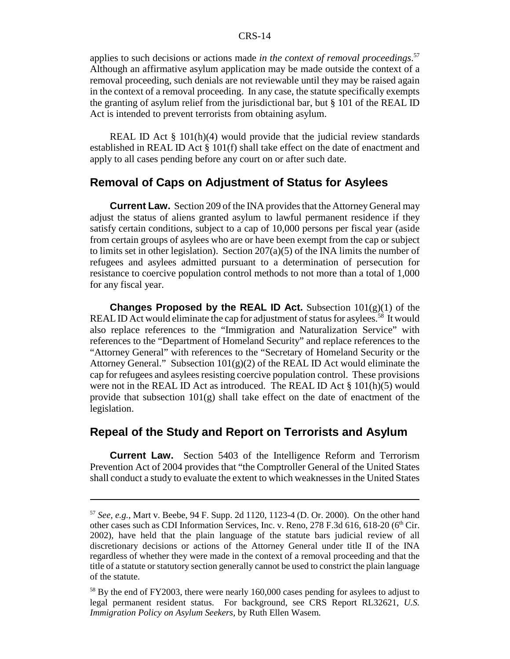applies to such decisions or actions made *in the context of removal proceedings*. 57 Although an affirmative asylum application may be made outside the context of a removal proceeding, such denials are not reviewable until they may be raised again in the context of a removal proceeding. In any case, the statute specifically exempts the granting of asylum relief from the jurisdictional bar, but § 101 of the REAL ID Act is intended to prevent terrorists from obtaining asylum.

REAL ID Act  $\S$  101(h)(4) would provide that the judicial review standards established in REAL ID Act § 101(f) shall take effect on the date of enactment and apply to all cases pending before any court on or after such date.

#### **Removal of Caps on Adjustment of Status for Asylees**

**Current Law.** Section 209 of the INA provides that the Attorney General may adjust the status of aliens granted asylum to lawful permanent residence if they satisfy certain conditions, subject to a cap of 10,000 persons per fiscal year (aside from certain groups of asylees who are or have been exempt from the cap or subject to limits set in other legislation). Section  $207(a)(5)$  of the INA limits the number of refugees and asylees admitted pursuant to a determination of persecution for resistance to coercive population control methods to not more than a total of 1,000 for any fiscal year.

**Changes Proposed by the REAL ID Act.** Subsection 101(g)(1) of the REAL ID Act would eliminate the cap for adjustment of status for asylees.<sup>58</sup> It would also replace references to the "Immigration and Naturalization Service" with references to the "Department of Homeland Security" and replace references to the "Attorney General" with references to the "Secretary of Homeland Security or the Attorney General." Subsection  $101(g)(2)$  of the REAL ID Act would eliminate the cap for refugees and asylees resisting coercive population control. These provisions were not in the REAL ID Act as introduced. The REAL ID Act § 101(h)(5) would provide that subsection 101(g) shall take effect on the date of enactment of the legislation.

### **Repeal of the Study and Report on Terrorists and Asylum**

**Current Law.** Section 5403 of the Intelligence Reform and Terrorism Prevention Act of 2004 provides that "the Comptroller General of the United States shall conduct a study to evaluate the extent to which weaknesses in the United States

<sup>57</sup> *See, e.g.*, Mart v. Beebe, 94 F. Supp. 2d 1120, 1123-4 (D. Or. 2000). On the other hand other cases such as CDI Information Services, Inc. v. Reno,  $278$  F.3d 616, 618-20 (6<sup>th</sup> Cir. 2002), have held that the plain language of the statute bars judicial review of all discretionary decisions or actions of the Attorney General under title II of the INA regardless of whether they were made in the context of a removal proceeding and that the title of a statute or statutory section generally cannot be used to constrict the plain language of the statute.

<sup>&</sup>lt;sup>58</sup> By the end of FY2003, there were nearly 160,000 cases pending for asylees to adjust to legal permanent resident status. For background, see CRS Report RL32621, *U.S. Immigration Policy on Asylum Seekers*, by Ruth Ellen Wasem.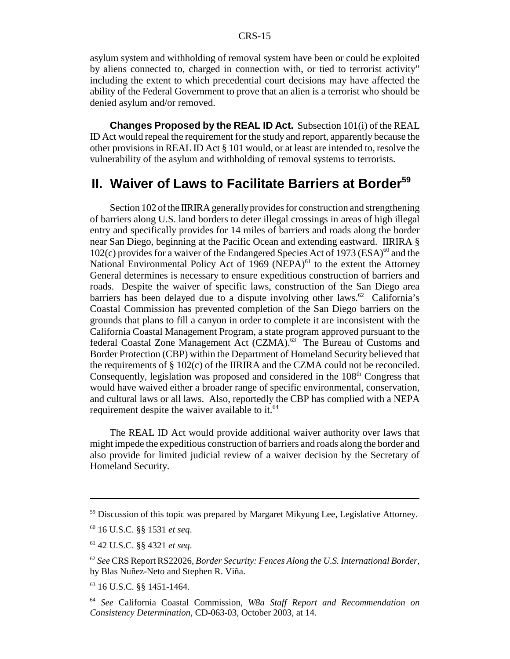asylum system and withholding of removal system have been or could be exploited by aliens connected to, charged in connection with, or tied to terrorist activity" including the extent to which precedential court decisions may have affected the ability of the Federal Government to prove that an alien is a terrorist who should be denied asylum and/or removed.

**Changes Proposed by the REAL ID Act.** Subsection 101(i) of the REAL ID Act would repeal the requirement for the study and report, apparently because the other provisions in REAL ID Act § 101 would, or at least are intended to, resolve the vulnerability of the asylum and withholding of removal systems to terrorists.

### **II. Waiver of Laws to Facilitate Barriers at Border<sup>59</sup>**

Section 102 of the IIRIRA generally provides for construction and strengthening of barriers along U.S. land borders to deter illegal crossings in areas of high illegal entry and specifically provides for 14 miles of barriers and roads along the border near San Diego, beginning at the Pacific Ocean and extending eastward. IIRIRA § 102(c) provides for a waiver of the Endangered Species Act of 1973 (ESA) $^{60}$  and the National Environmental Policy Act of 1969 (NEPA) $61$  to the extent the Attorney General determines is necessary to ensure expeditious construction of barriers and roads. Despite the waiver of specific laws, construction of the San Diego area barriers has been delayed due to a dispute involving other laws.<sup>62</sup> California's Coastal Commission has prevented completion of the San Diego barriers on the grounds that plans to fill a canyon in order to complete it are inconsistent with the California Coastal Management Program, a state program approved pursuant to the federal Coastal Zone Management Act (CZMA).<sup>63</sup> The Bureau of Customs and Border Protection (CBP) within the Department of Homeland Security believed that the requirements of § 102(c) of the IIRIRA and the CZMA could not be reconciled. Consequently, legislation was proposed and considered in the 108<sup>th</sup> Congress that would have waived either a broader range of specific environmental, conservation, and cultural laws or all laws. Also, reportedly the CBP has complied with a NEPA requirement despite the waiver available to it.<sup>64</sup>

The REAL ID Act would provide additional waiver authority over laws that might impede the expeditious construction of barriers and roads along the border and also provide for limited judicial review of a waiver decision by the Secretary of Homeland Security.

<sup>&</sup>lt;sup>59</sup> Discussion of this topic was prepared by Margaret Mikyung Lee, Legislative Attorney.

<sup>60 16</sup> U.S.C. §§ 1531 *et seq*.

<sup>61 42</sup> U.S.C. §§ 4321 *et seq*.

<sup>62</sup> *See* CRS Report RS22026, *Border Security: Fences Along the U.S. International Border*, by Blas Nuñez-Neto and Stephen R. Viña.

<sup>63 16</sup> U.S.C. §§ 1451-1464.

<sup>64</sup> *See* California Coastal Commission, *W8a Staff Report and Recommendation on Consistency Determination*, CD-063-03, October 2003, at 14.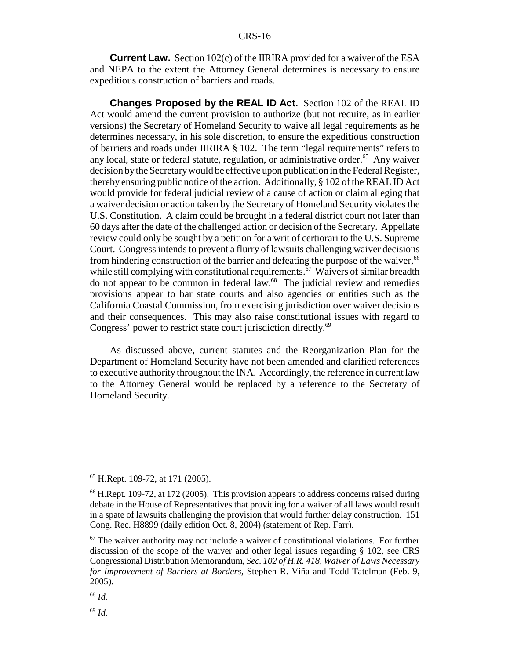**Current Law.** Section 102(c) of the IIRIRA provided for a waiver of the ESA and NEPA to the extent the Attorney General determines is necessary to ensure expeditious construction of barriers and roads.

**Changes Proposed by the REAL ID Act.** Section 102 of the REAL ID Act would amend the current provision to authorize (but not require, as in earlier versions) the Secretary of Homeland Security to waive all legal requirements as he determines necessary, in his sole discretion, to ensure the expeditious construction of barriers and roads under IIRIRA § 102. The term "legal requirements" refers to any local, state or federal statute, regulation, or administrative order.<sup>65</sup> Any waiver decision by the Secretary would be effective upon publication in the Federal Register, thereby ensuring public notice of the action. Additionally, § 102 of the REAL ID Act would provide for federal judicial review of a cause of action or claim alleging that a waiver decision or action taken by the Secretary of Homeland Security violates the U.S. Constitution. A claim could be brought in a federal district court not later than 60 days after the date of the challenged action or decision of the Secretary. Appellate review could only be sought by a petition for a writ of certiorari to the U.S. Supreme Court. Congress intends to prevent a flurry of lawsuits challenging waiver decisions from hindering construction of the barrier and defeating the purpose of the waiver,  $66$ while still complying with constitutional requirements. $\overline{67}$  Waivers of similar breadth do not appear to be common in federal law.68 The judicial review and remedies provisions appear to bar state courts and also agencies or entities such as the California Coastal Commission, from exercising jurisdiction over waiver decisions and their consequences. This may also raise constitutional issues with regard to Congress' power to restrict state court jurisdiction directly.<sup>69</sup>

As discussed above, current statutes and the Reorganization Plan for the Department of Homeland Security have not been amended and clarified references to executive authority throughout the INA. Accordingly, the reference in current law to the Attorney General would be replaced by a reference to the Secretary of Homeland Security.

<sup>68</sup> *Id.*

<sup>69</sup> *Id.*

<sup>65</sup> H.Rept. 109-72, at 171 (2005).

<sup>&</sup>lt;sup>66</sup> H.Rept. 109-72, at 172 (2005). This provision appears to address concerns raised during debate in the House of Representatives that providing for a waiver of all laws would result in a spate of lawsuits challenging the provision that would further delay construction. 151 Cong. Rec. H8899 (daily edition Oct. 8, 2004) (statement of Rep. Farr).

 $67$  The waiver authority may not include a waiver of constitutional violations. For further discussion of the scope of the waiver and other legal issues regarding § 102, see CRS Congressional Distribution Memorandum, *Sec. 102 of H.R. 418, Waiver of Laws Necessary for Improvement of Barriers at Borders*, Stephen R. Viña and Todd Tatelman (Feb. 9, 2005).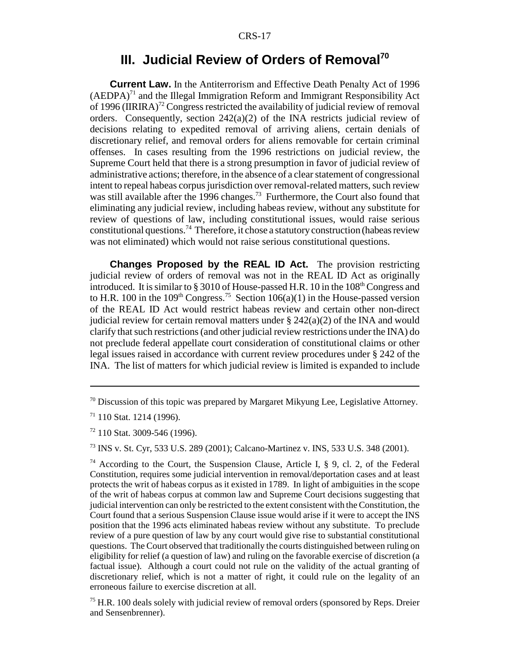### **III. Judicial Review of Orders of Removal<sup>70</sup>**

**Current Law.** In the Antiterrorism and Effective Death Penalty Act of 1996  $(AEDPA)<sup>71</sup>$  and the Illegal Immigration Reform and Immigrant Responsibility Act of 1996 (IIRIRA)<sup>72</sup> Congress restricted the availability of judicial review of removal orders. Consequently, section 242(a)(2) of the INA restricts judicial review of decisions relating to expedited removal of arriving aliens, certain denials of discretionary relief, and removal orders for aliens removable for certain criminal offenses. In cases resulting from the 1996 restrictions on judicial review, the Supreme Court held that there is a strong presumption in favor of judicial review of administrative actions; therefore, in the absence of a clear statement of congressional intent to repeal habeas corpus jurisdiction over removal-related matters, such review was still available after the 1996 changes.<sup>73</sup> Furthermore, the Court also found that eliminating any judicial review, including habeas review, without any substitute for review of questions of law, including constitutional issues, would raise serious constitutional questions.<sup>74</sup> Therefore, it chose a statutory construction (habeas review was not eliminated) which would not raise serious constitutional questions.

**Changes Proposed by the REAL ID Act.** The provision restricting judicial review of orders of removal was not in the REAL ID Act as originally introduced. It is similar to  $\S 3010$  of House-passed H.R. 10 in the  $108<sup>th</sup>$  Congress and to H.R. 100 in the 109<sup>th</sup> Congress.<sup>75</sup> Section 106(a)(1) in the House-passed version of the REAL ID Act would restrict habeas review and certain other non-direct judicial review for certain removal matters under §  $242(a)(2)$  of the INA and would clarify that such restrictions (and other judicial review restrictions under the INA) do not preclude federal appellate court consideration of constitutional claims or other legal issues raised in accordance with current review procedures under § 242 of the INA. The list of matters for which judicial review is limited is expanded to include

73 INS v. St. Cyr, 533 U.S. 289 (2001); Calcano-Martinez v. INS, 533 U.S. 348 (2001).

<sup>74</sup> According to the Court, the Suspension Clause, Article I, § 9, cl. 2, of the Federal Constitution, requires some judicial intervention in removal/deportation cases and at least protects the writ of habeas corpus as it existed in 1789. In light of ambiguities in the scope of the writ of habeas corpus at common law and Supreme Court decisions suggesting that judicial intervention can only be restricted to the extent consistent with the Constitution, the Court found that a serious Suspension Clause issue would arise if it were to accept the INS position that the 1996 acts eliminated habeas review without any substitute. To preclude review of a pure question of law by any court would give rise to substantial constitutional questions. The Court observed that traditionally the courts distinguished between ruling on eligibility for relief (a question of law) and ruling on the favorable exercise of discretion (a factual issue). Although a court could not rule on the validity of the actual granting of discretionary relief, which is not a matter of right, it could rule on the legality of an erroneous failure to exercise discretion at all.

 $<sup>75</sup>$  H.R. 100 deals solely with judicial review of removal orders (sponsored by Reps. Dreier</sup> and Sensenbrenner).

<sup>&</sup>lt;sup>70</sup> Discussion of this topic was prepared by Margaret Mikyung Lee, Legislative Attorney.

 $71$  110 Stat. 1214 (1996).

<sup>72 110</sup> Stat. 3009-546 (1996).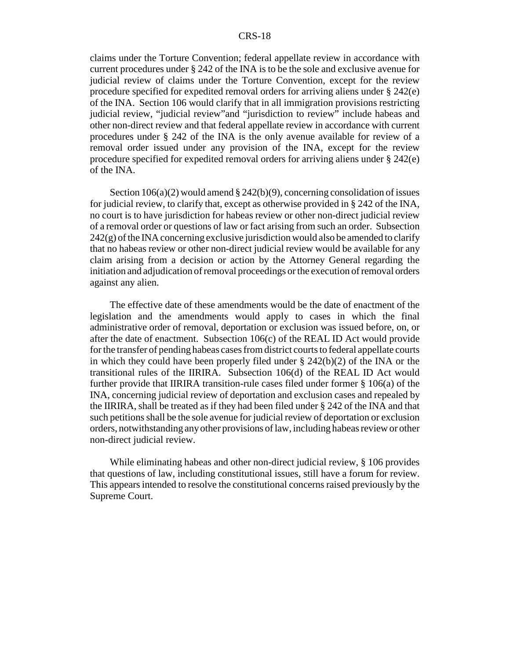#### CRS-18

claims under the Torture Convention; federal appellate review in accordance with current procedures under § 242 of the INA is to be the sole and exclusive avenue for judicial review of claims under the Torture Convention, except for the review procedure specified for expedited removal orders for arriving aliens under § 242(e) of the INA. Section 106 would clarify that in all immigration provisions restricting judicial review, "judicial review"and "jurisdiction to review" include habeas and other non-direct review and that federal appellate review in accordance with current procedures under § 242 of the INA is the only avenue available for review of a removal order issued under any provision of the INA, except for the review procedure specified for expedited removal orders for arriving aliens under § 242(e) of the INA.

Section 106(a)(2) would amend § 242(b)(9), concerning consolidation of issues for judicial review, to clarify that, except as otherwise provided in § 242 of the INA, no court is to have jurisdiction for habeas review or other non-direct judicial review of a removal order or questions of law or fact arising from such an order. Subsection  $242(g)$  of the INA concerning exclusive jurisdiction would also be amended to clarify that no habeas review or other non-direct judicial review would be available for any claim arising from a decision or action by the Attorney General regarding the initiation and adjudication of removal proceedings or the execution of removal orders against any alien.

The effective date of these amendments would be the date of enactment of the legislation and the amendments would apply to cases in which the final administrative order of removal, deportation or exclusion was issued before, on, or after the date of enactment. Subsection 106(c) of the REAL ID Act would provide for the transfer of pending habeas cases from district courts to federal appellate courts in which they could have been properly filed under  $\S$  242(b)(2) of the INA or the transitional rules of the IIRIRA. Subsection 106(d) of the REAL ID Act would further provide that IIRIRA transition-rule cases filed under former § 106(a) of the INA, concerning judicial review of deportation and exclusion cases and repealed by the IIRIRA, shall be treated as if they had been filed under § 242 of the INA and that such petitions shall be the sole avenue for judicial review of deportation or exclusion orders, notwithstanding any other provisions of law, including habeas review or other non-direct judicial review.

While eliminating habeas and other non-direct judicial review, § 106 provides that questions of law, including constitutional issues, still have a forum for review. This appears intended to resolve the constitutional concerns raised previously by the Supreme Court.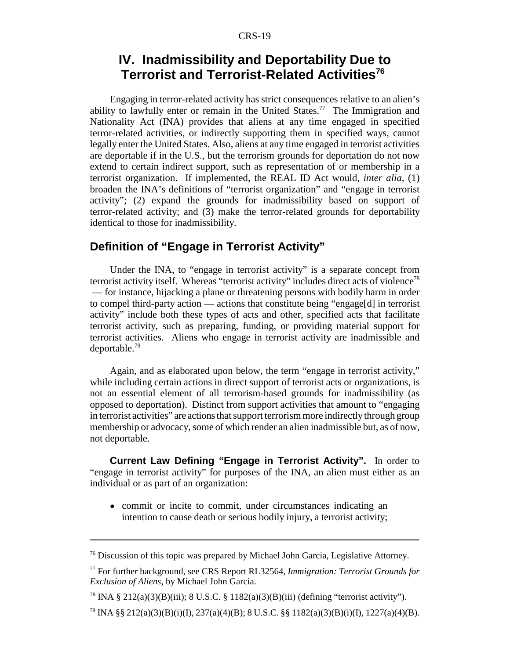### **IV. Inadmissibility and Deportability Due to Terrorist and Terrorist-Related Activities76**

Engaging in terror-related activity has strict consequences relative to an alien's ability to lawfully enter or remain in the United States.<sup>77</sup> The Immigration and Nationality Act (INA) provides that aliens at any time engaged in specified terror-related activities, or indirectly supporting them in specified ways, cannot legally enter the United States. Also, aliens at any time engaged in terrorist activities are deportable if in the U.S., but the terrorism grounds for deportation do not now extend to certain indirect support, such as representation of or membership in a terrorist organization. If implemented, the REAL ID Act would, *inter alia*, (1) broaden the INA's definitions of "terrorist organization" and "engage in terrorist activity"; (2) expand the grounds for inadmissibility based on support of terror-related activity; and (3) make the terror-related grounds for deportability identical to those for inadmissibility.

### **Definition of "Engage in Terrorist Activity"**

Under the INA, to "engage in terrorist activity" is a separate concept from terrorist activity itself. Whereas "terrorist activity" includes direct acts of violence<sup>78</sup> — for instance, hijacking a plane or threatening persons with bodily harm in order to compel third-party action — actions that constitute being "engage[d] in terrorist activity" include both these types of acts and other, specified acts that facilitate terrorist activity, such as preparing, funding, or providing material support for terrorist activities. Aliens who engage in terrorist activity are inadmissible and deportable.79

Again, and as elaborated upon below, the term "engage in terrorist activity," while including certain actions in direct support of terrorist acts or organizations, is not an essential element of all terrorism-based grounds for inadmissibility (as opposed to deportation). Distinct from support activities that amount to "engaging in terrorist activities" are actions that support terrorism more indirectly through group membership or advocacy, some of which render an alien inadmissible but, as of now, not deportable.

**Current Law Defining "Engage in Terrorist Activity".** In order to "engage in terrorist activity" for purposes of the INA, an alien must either as an individual or as part of an organization:

• commit or incite to commit, under circumstances indicating an intention to cause death or serious bodily injury, a terrorist activity;

<sup>&</sup>lt;sup>76</sup> Discussion of this topic was prepared by Michael John Garcia, Legislative Attorney.

<sup>77</sup> For further background, see CRS Report RL32564, *Immigration: Terrorist Grounds for Exclusion of Aliens*, by Michael John Garcia.

<sup>&</sup>lt;sup>78</sup> INA § 212(a)(3)(B)(iii); 8 U.S.C. § 1182(a)(3)(B)(iii) (defining "terrorist activity").

<sup>&</sup>lt;sup>79</sup> INA §§ 212(a)(3)(B)(i)(I), 237(a)(4)(B); 8 U.S.C. §§ 1182(a)(3)(B)(i)(I), 1227(a)(4)(B).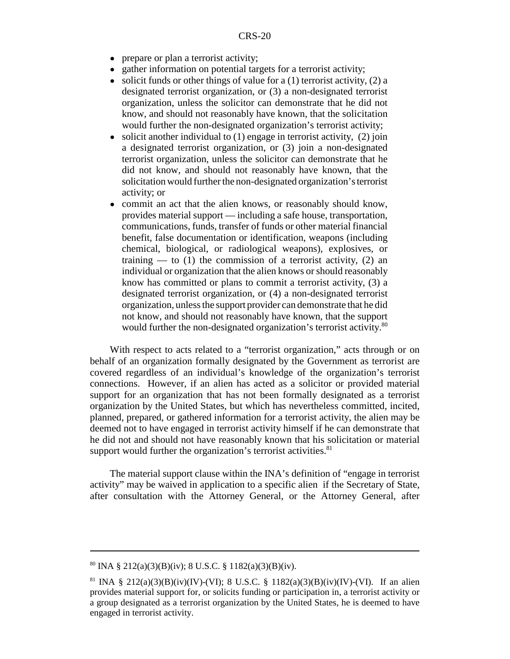- prepare or plan a terrorist activity;
- gather information on potential targets for a terrorist activity;
- $\bullet$  solicit funds or other things of value for a (1) terrorist activity, (2) a designated terrorist organization, or (3) a non-designated terrorist organization, unless the solicitor can demonstrate that he did not know, and should not reasonably have known, that the solicitation would further the non-designated organization's terrorist activity;
- $\bullet$  solicit another individual to (1) engage in terrorist activity, (2) join a designated terrorist organization, or (3) join a non-designated terrorist organization, unless the solicitor can demonstrate that he did not know, and should not reasonably have known, that the solicitation would further the non-designated organization's terrorist activity; or
- commit an act that the alien knows, or reasonably should know, provides material support — including a safe house, transportation, communications, funds, transfer of funds or other material financial benefit, false documentation or identification, weapons (including chemical, biological, or radiological weapons), explosives, or training — to  $(1)$  the commission of a terrorist activity,  $(2)$  an individual or organization that the alien knows or should reasonably know has committed or plans to commit a terrorist activity, (3) a designated terrorist organization, or (4) a non-designated terrorist organization, unless the support provider can demonstrate that he did not know, and should not reasonably have known, that the support would further the non-designated organization's terrorist activity.<sup>80</sup>

With respect to acts related to a "terrorist organization," acts through or on behalf of an organization formally designated by the Government as terrorist are covered regardless of an individual's knowledge of the organization's terrorist connections. However, if an alien has acted as a solicitor or provided material support for an organization that has not been formally designated as a terrorist organization by the United States, but which has nevertheless committed, incited, planned, prepared, or gathered information for a terrorist activity, the alien may be deemed not to have engaged in terrorist activity himself if he can demonstrate that he did not and should not have reasonably known that his solicitation or material support would further the organization's terrorist activities. $81$ 

The material support clause within the INA's definition of "engage in terrorist activity" may be waived in application to a specific alien if the Secretary of State, after consultation with the Attorney General, or the Attorney General, after

 $80$  INA § 212(a)(3)(B)(iv); 8 U.S.C. § 1182(a)(3)(B)(iv).

<sup>&</sup>lt;sup>81</sup> INA § 212(a)(3)(B)(iv)(IV)-(VI); 8 U.S.C. § 1182(a)(3)(B)(iv)(IV)-(VI). If an alien provides material support for, or solicits funding or participation in, a terrorist activity or a group designated as a terrorist organization by the United States, he is deemed to have engaged in terrorist activity.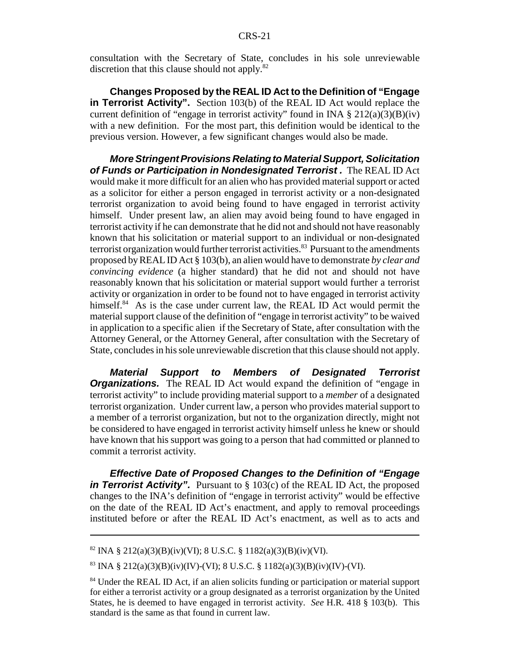consultation with the Secretary of State, concludes in his sole unreviewable discretion that this clause should not apply.<sup>82</sup>

**Changes Proposed by the REAL ID Act to the Definition of "Engage in Terrorist Activity".** Section 103(b) of the REAL ID Act would replace the current definition of "engage in terrorist activity" found in INA  $\S 212(a)(3)(B)(iv)$ with a new definition. For the most part, this definition would be identical to the previous version. However, a few significant changes would also be made.

*More Stringent Provisions Relating to Material Support, Solicitation of Funds or Participation in Nondesignated Terrorist .* The REAL ID Act would make it more difficult for an alien who has provided material support or acted as a solicitor for either a person engaged in terrorist activity or a non-designated terrorist organization to avoid being found to have engaged in terrorist activity himself. Under present law, an alien may avoid being found to have engaged in terrorist activity if he can demonstrate that he did not and should not have reasonably known that his solicitation or material support to an individual or non-designated terrorist organization would further terrorist activities.<sup>83</sup> Pursuant to the amendments proposed by REAL ID Act § 103(b), an alien would have to demonstrate *by clear and convincing evidence* (a higher standard) that he did not and should not have reasonably known that his solicitation or material support would further a terrorist activity or organization in order to be found not to have engaged in terrorist activity himself. $84$  As is the case under current law, the REAL ID Act would permit the material support clause of the definition of "engage in terrorist activity" to be waived in application to a specific alien if the Secretary of State, after consultation with the Attorney General, or the Attorney General, after consultation with the Secretary of State, concludes in his sole unreviewable discretion that this clause should not apply.

*Material Support to Members of Designated Terrorist* **Organizations.** The REAL ID Act would expand the definition of "engage in terrorist activity" to include providing material support to a *member* of a designated terrorist organization. Under current law, a person who provides material support to a member of a terrorist organization, but not to the organization directly, might not be considered to have engaged in terrorist activity himself unless he knew or should have known that his support was going to a person that had committed or planned to commit a terrorist activity.

*Effective Date of Proposed Changes to the Definition of "Engage in Terrorist Activity".* Pursuant to § 103(c) of the REAL ID Act, the proposed changes to the INA's definition of "engage in terrorist activity" would be effective on the date of the REAL ID Act's enactment, and apply to removal proceedings instituted before or after the REAL ID Act's enactment, as well as to acts and

<sup>&</sup>lt;sup>82</sup> INA § 212(a)(3)(B)(iv)(VI); 8 U.S.C. § 1182(a)(3)(B)(iv)(VI).

<sup>&</sup>lt;sup>83</sup> INA § 212(a)(3)(B)(iv)(IV)-(VI); 8 U.S.C. § 1182(a)(3)(B)(iv)(IV)-(VI).

<sup>&</sup>lt;sup>84</sup> Under the REAL ID Act, if an alien solicits funding or participation or material support for either a terrorist activity or a group designated as a terrorist organization by the United States, he is deemed to have engaged in terrorist activity. *See* H.R. 418 § 103(b). This standard is the same as that found in current law.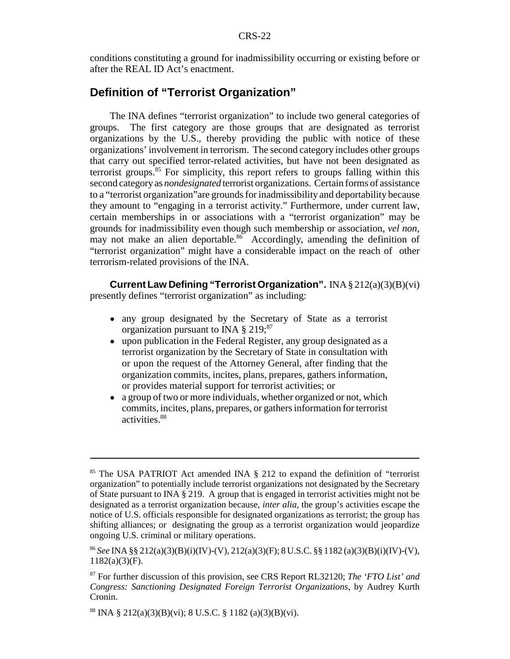conditions constituting a ground for inadmissibility occurring or existing before or after the REAL ID Act's enactment.

### **Definition of "Terrorist Organization"**

The INA defines "terrorist organization" to include two general categories of groups. The first category are those groups that are designated as terrorist organizations by the U.S., thereby providing the public with notice of these organizations' involvement in terrorism. The second category includes other groups that carry out specified terror-related activities, but have not been designated as terrorist groups. $85$  For simplicity, this report refers to groups falling within this second category as *nondesignated* terrorist organizations. Certain forms of assistance to a "terrorist organization"are grounds for inadmissibility and deportability because they amount to "engaging in a terrorist activity." Furthermore, under current law, certain memberships in or associations with a "terrorist organization" may be grounds for inadmissibility even though such membership or association, *vel non*, may not make an alien deportable.<sup>86</sup> Accordingly, amending the definition of "terrorist organization" might have a considerable impact on the reach of other terrorism-related provisions of the INA.

**Current Law Defining "Terrorist Organization".** INA § 212(a)(3)(B)(vi) presently defines "terrorist organization" as including:

- any group designated by the Secretary of State as a terrorist organization pursuant to INA  $\S 219$ ;<sup>87</sup>
- upon publication in the Federal Register, any group designated as a terrorist organization by the Secretary of State in consultation with or upon the request of the Attorney General, after finding that the organization commits, incites, plans, prepares, gathers information, or provides material support for terrorist activities; or
- a group of two or more individuals, whether organized or not, which commits, incites, plans, prepares, or gathers information for terrorist activities.<sup>88</sup>

<sup>85</sup> The USA PATRIOT Act amended INA § 212 to expand the definition of "terrorist organization" to potentially include terrorist organizations not designated by the Secretary of State pursuant to INA § 219. A group that is engaged in terrorist activities might not be designated as a terrorist organization because, *inter alia*, the group's activities escape the notice of U.S. officials responsible for designated organizations as terrorist; the group has shifting alliances; or designating the group as a terrorist organization would jeopardize ongoing U.S. criminal or military operations.

<sup>86</sup> *See* INA §§ 212(a)(3)(B)(i)(IV)-(V), 212(a)(3)(F); 8 U.S.C. §§ 1182 (a)(3)(B)(i)(IV)-(V), 1182(a)(3)(F).

<sup>87</sup> For further discussion of this provision, see CRS Report RL32120; *The 'FTO List' and Congress: Sanctioning Designated Foreign Terrorist Organizations*, by Audrey Kurth Cronin.

<sup>&</sup>lt;sup>88</sup> INA § 212(a)(3)(B)(vi); 8 U.S.C. § 1182 (a)(3)(B)(vi).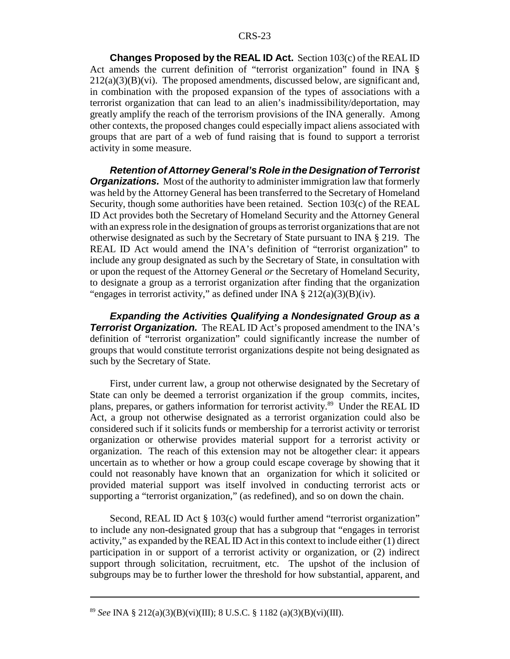**Changes Proposed by the REAL ID Act.** Section 103(c) of the REAL ID Act amends the current definition of "terrorist organization" found in INA §  $212(a)(3)(B)(vi)$ . The proposed amendments, discussed below, are significant and, in combination with the proposed expansion of the types of associations with a terrorist organization that can lead to an alien's inadmissibility/deportation, may greatly amplify the reach of the terrorism provisions of the INA generally. Among other contexts, the proposed changes could especially impact aliens associated with groups that are part of a web of fund raising that is found to support a terrorist activity in some measure.

*Retention of Attorney General's Role in the Designation of Terrorist Organizations.* Most of the authority to administer immigration law that formerly was held by the Attorney General has been transferred to the Secretary of Homeland Security, though some authorities have been retained. Section 103(c) of the REAL ID Act provides both the Secretary of Homeland Security and the Attorney General with an express role in the designation of groups as terrorist organizations that are not otherwise designated as such by the Secretary of State pursuant to INA § 219. The REAL ID Act would amend the INA's definition of "terrorist organization" to include any group designated as such by the Secretary of State, in consultation with or upon the request of the Attorney General *or* the Secretary of Homeland Security, to designate a group as a terrorist organization after finding that the organization "engages in terrorist activity," as defined under INA  $\S 212(a)(3)(B)(iv)$ .

*Expanding the Activities Qualifying a Nondesignated Group as a* **Terrorist Organization.** The REAL ID Act's proposed amendment to the INA's definition of "terrorist organization" could significantly increase the number of groups that would constitute terrorist organizations despite not being designated as such by the Secretary of State.

First, under current law, a group not otherwise designated by the Secretary of State can only be deemed a terrorist organization if the group commits, incites, plans, prepares, or gathers information for terrorist activity.89 Under the REAL ID Act, a group not otherwise designated as a terrorist organization could also be considered such if it solicits funds or membership for a terrorist activity or terrorist organization or otherwise provides material support for a terrorist activity or organization. The reach of this extension may not be altogether clear: it appears uncertain as to whether or how a group could escape coverage by showing that it could not reasonably have known that an organization for which it solicited or provided material support was itself involved in conducting terrorist acts or supporting a "terrorist organization," (as redefined), and so on down the chain.

Second, REAL ID Act § 103(c) would further amend "terrorist organization" to include any non-designated group that has a subgroup that "engages in terrorist activity," as expanded by the REAL ID Act in this context to include either (1) direct participation in or support of a terrorist activity or organization, or (2) indirect support through solicitation, recruitment, etc. The upshot of the inclusion of subgroups may be to further lower the threshold for how substantial, apparent, and

<sup>89</sup> *See* INA § 212(a)(3)(B)(vi)(III); 8 U.S.C. § 1182 (a)(3)(B)(vi)(III).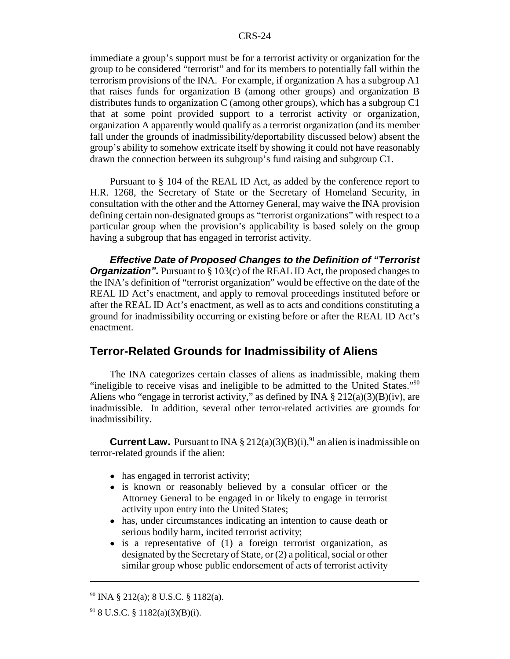immediate a group's support must be for a terrorist activity or organization for the group to be considered "terrorist" and for its members to potentially fall within the terrorism provisions of the INA. For example, if organization A has a subgroup A1 that raises funds for organization B (among other groups) and organization B distributes funds to organization C (among other groups), which has a subgroup C1 that at some point provided support to a terrorist activity or organization, organization A apparently would qualify as a terrorist organization (and its member fall under the grounds of inadmissibility/deportability discussed below) absent the group's ability to somehow extricate itself by showing it could not have reasonably drawn the connection between its subgroup's fund raising and subgroup C1.

Pursuant to § 104 of the REAL ID Act, as added by the conference report to H.R. 1268, the Secretary of State or the Secretary of Homeland Security, in consultation with the other and the Attorney General, may waive the INA provision defining certain non-designated groups as "terrorist organizations" with respect to a particular group when the provision's applicability is based solely on the group having a subgroup that has engaged in terrorist activity.

*Effective Date of Proposed Changes to the Definition of "Terrorist Organization".* Pursuant to § 103(c) of the REAL ID Act, the proposed changes to the INA's definition of "terrorist organization" would be effective on the date of the REAL ID Act's enactment, and apply to removal proceedings instituted before or after the REAL ID Act's enactment, as well as to acts and conditions constituting a ground for inadmissibility occurring or existing before or after the REAL ID Act's enactment.

#### **Terror-Related Grounds for Inadmissibility of Aliens**

The INA categorizes certain classes of aliens as inadmissible, making them "ineligible to receive visas and ineligible to be admitted to the United States."90 Aliens who "engage in terrorist activity," as defined by INA  $\S 212(a)(3)(B)(iv)$ , are inadmissible. In addition, several other terror-related activities are grounds for inadmissibility.

**Current Law.** Pursuant to INA § 212(a)(3)(B)(i), <sup>91</sup> an alien is inadmissible on terror-related grounds if the alien:

- has engaged in terrorist activity;
- is known or reasonably believed by a consular officer or the Attorney General to be engaged in or likely to engage in terrorist activity upon entry into the United States;
- has, under circumstances indicating an intention to cause death or serious bodily harm, incited terrorist activity;
- is a representative of (1) a foreign terrorist organization, as designated by the Secretary of State, or (2) a political, social or other similar group whose public endorsement of acts of terrorist activity

 $90$  INA § 212(a); 8 U.S.C. § 1182(a).

 $91$  8 U.S.C. § 1182(a)(3)(B)(i).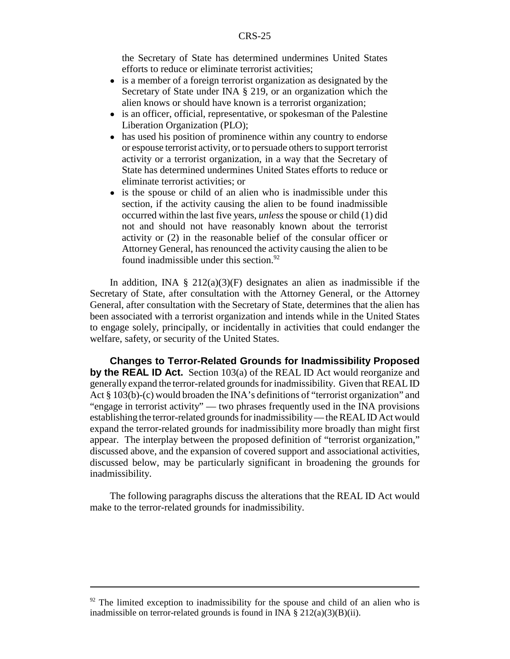the Secretary of State has determined undermines United States efforts to reduce or eliminate terrorist activities;

- is a member of a foreign terrorist organization as designated by the Secretary of State under INA § 219, or an organization which the alien knows or should have known is a terrorist organization;
- is an officer, official, representative, or spokesman of the Palestine Liberation Organization (PLO);
- has used his position of prominence within any country to endorse or espouse terrorist activity, or to persuade others to support terrorist activity or a terrorist organization, in a way that the Secretary of State has determined undermines United States efforts to reduce or eliminate terrorist activities; or
- is the spouse or child of an alien who is inadmissible under this section, if the activity causing the alien to be found inadmissible occurred within the last five years, *unless* the spouse or child (1) did not and should not have reasonably known about the terrorist activity or (2) in the reasonable belief of the consular officer or Attorney General, has renounced the activity causing the alien to be found inadmissible under this section.<sup>92</sup>

In addition, INA  $\S$  212(a)(3)(F) designates an alien as inadmissible if the Secretary of State, after consultation with the Attorney General, or the Attorney General, after consultation with the Secretary of State, determines that the alien has been associated with a terrorist organization and intends while in the United States to engage solely, principally, or incidentally in activities that could endanger the welfare, safety, or security of the United States.

**Changes to Terror-Related Grounds for Inadmissibility Proposed by the REAL ID Act.** Section 103(a) of the REAL ID Act would reorganize and generally expand the terror-related grounds for inadmissibility. Given that REAL ID Act § 103(b)-(c) would broaden the INA's definitions of "terrorist organization" and "engage in terrorist activity" — two phrases frequently used in the INA provisions establishing the terror-related grounds for inadmissibility — the REAL ID Act would expand the terror-related grounds for inadmissibility more broadly than might first appear. The interplay between the proposed definition of "terrorist organization," discussed above, and the expansion of covered support and associational activities, discussed below, may be particularly significant in broadening the grounds for inadmissibility.

The following paragraphs discuss the alterations that the REAL ID Act would make to the terror-related grounds for inadmissibility.

 $92$  The limited exception to inadmissibility for the spouse and child of an alien who is inadmissible on terror-related grounds is found in INA  $\S 212(a)(3)(B)(ii)$ .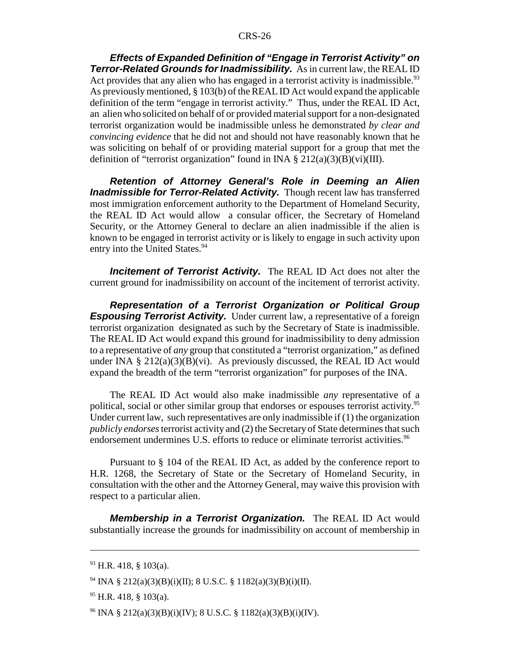*Effects of Expanded Definition of "Engage in Terrorist Activity" on Terror-Related Grounds for Inadmissibility.* As in current law, the REAL ID Act provides that any alien who has engaged in a terrorist activity is inadmissible.<sup>93</sup> As previously mentioned, § 103(b) of the REAL ID Act would expand the applicable definition of the term "engage in terrorist activity." Thus, under the REAL ID Act, an alien who solicited on behalf of or provided material support for a non-designated terrorist organization would be inadmissible unless he demonstrated *by clear and convincing evidence* that he did not and should not have reasonably known that he was soliciting on behalf of or providing material support for a group that met the definition of "terrorist organization" found in INA  $\S 212(a)(3)(B)(vi)(III)$ .

*Retention of Attorney General's Role in Deeming an Alien Inadmissible for Terror-Related Activity.* Though recent law has transferred most immigration enforcement authority to the Department of Homeland Security, the REAL ID Act would allow a consular officer, the Secretary of Homeland Security, or the Attorney General to declare an alien inadmissible if the alien is known to be engaged in terrorist activity or is likely to engage in such activity upon entry into the United States.<sup>94</sup>

**Incitement of Terrorist Activity.** The REAL ID Act does not alter the current ground for inadmissibility on account of the incitement of terrorist activity.

*Representation of a Terrorist Organization or Political Group* **Espousing Terrorist Activity.** Under current law, a representative of a foreign terrorist organization designated as such by the Secretary of State is inadmissible. The REAL ID Act would expand this ground for inadmissibility to deny admission to a representative of *any* group that constituted a "terrorist organization," as defined under INA  $\S 212(a)(3)(B)(vi)$ . As previously discussed, the REAL ID Act would expand the breadth of the term "terrorist organization" for purposes of the INA.

The REAL ID Act would also make inadmissible *any* representative of a political, social or other similar group that endorses or espouses terrorist activity.<sup>95</sup> Under current law, such representatives are only inadmissible if (1) the organization *publicly endorses* terrorist activity and (2) the Secretary of State determines that such endorsement undermines U.S. efforts to reduce or eliminate terrorist activities.<sup>96</sup>

Pursuant to § 104 of the REAL ID Act, as added by the conference report to H.R. 1268, the Secretary of State or the Secretary of Homeland Security, in consultation with the other and the Attorney General, may waive this provision with respect to a particular alien.

*Membership in a Terrorist Organization.* The REAL ID Act would substantially increase the grounds for inadmissibility on account of membership in

<sup>93</sup> H.R. 418, § 103(a).

<sup>94</sup> INA § 212(a)(3)(B)(i)(II); 8 U.S.C. § 1182(a)(3)(B)(i)(II).

 $95$  H.R. 418, § 103(a).

<sup>&</sup>lt;sup>96</sup> INA § 212(a)(3)(B)(i)(IV); 8 U.S.C. § 1182(a)(3)(B)(i)(IV).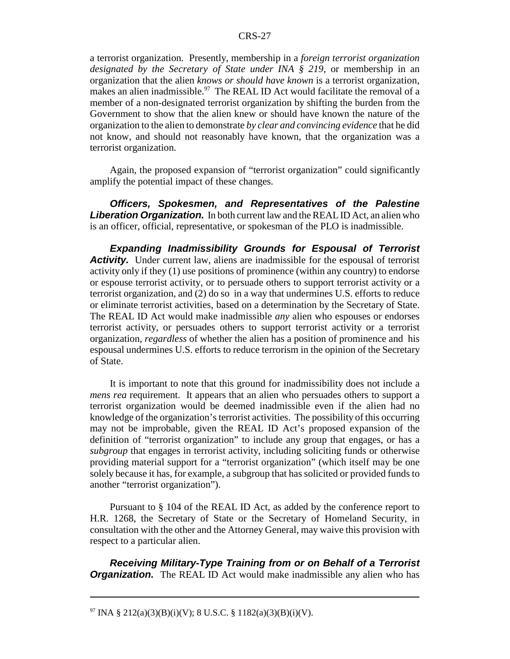a terrorist organization. Presently, membership in a *foreign terrorist organization designated by the Secretary of State under INA § 219*, or membership in an organization that the alien *knows or should have known* is a terrorist organization, makes an alien inadmissible.<sup>97</sup> The REAL ID Act would facilitate the removal of a member of a non-designated terrorist organization by shifting the burden from the Government to show that the alien knew or should have known the nature of the organization to the alien to demonstrate *by clear and convincing evidence* that he did not know, and should not reasonably have known, that the organization was a terrorist organization.

Again, the proposed expansion of "terrorist organization" could significantly amplify the potential impact of these changes.

*Officers, Spokesmen, and Representatives of the Palestine Liberation Organization.* In both current law and the REAL ID Act, an alien who is an officer, official, representative, or spokesman of the PLO is inadmissible.

*Expanding Inadmissibility Grounds for Espousal of Terrorist Activity.* Under current law, aliens are inadmissible for the espousal of terrorist activity only if they (1) use positions of prominence (within any country) to endorse or espouse terrorist activity, or to persuade others to support terrorist activity or a terrorist organization, and (2) do so in a way that undermines U.S. efforts to reduce or eliminate terrorist activities, based on a determination by the Secretary of State. The REAL ID Act would make inadmissible *any* alien who espouses or endorses terrorist activity, or persuades others to support terrorist activity or a terrorist organization, *regardless* of whether the alien has a position of prominence and his espousal undermines U.S. efforts to reduce terrorism in the opinion of the Secretary of State.

It is important to note that this ground for inadmissibility does not include a *mens rea* requirement. It appears that an alien who persuades others to support a terrorist organization would be deemed inadmissible even if the alien had no knowledge of the organization's terrorist activities. The possibility of this occurring may not be improbable, given the REAL ID Act's proposed expansion of the definition of "terrorist organization" to include any group that engages, or has a *subgroup* that engages in terrorist activity, including soliciting funds or otherwise providing material support for a "terrorist organization" (which itself may be one solely because it has, for example, a subgroup that has solicited or provided funds to another "terrorist organization").

Pursuant to § 104 of the REAL ID Act, as added by the conference report to H.R. 1268, the Secretary of State or the Secretary of Homeland Security, in consultation with the other and the Attorney General, may waive this provision with respect to a particular alien.

*Receiving Military-Type Training from or on Behalf of a Terrorist Organization.* The REAL ID Act would make inadmissible any alien who has

<sup>&</sup>lt;sup>97</sup> INA § 212(a)(3)(B)(i)(V); 8 U.S.C. § 1182(a)(3)(B)(i)(V).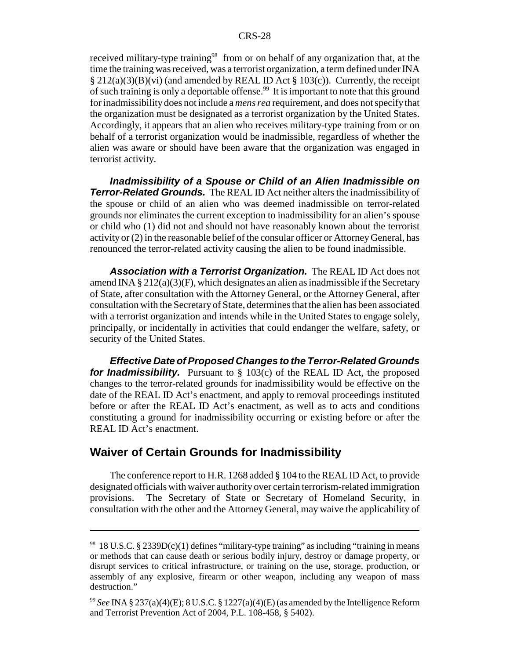received military-type training<sup>98</sup> from or on behalf of any organization that, at the time the training was received, was a terrorist organization, a term defined under INA  $\S 212(a)(3)(B)(vi)$  (and amended by REAL ID Act  $\S 103(c)$ ). Currently, the receipt of such training is only a deportable offense.<sup>99</sup> It is important to note that this ground for inadmissibility does not include a *mens rea* requirement, and does not specify that the organization must be designated as a terrorist organization by the United States. Accordingly, it appears that an alien who receives military-type training from or on behalf of a terrorist organization would be inadmissible, regardless of whether the alien was aware or should have been aware that the organization was engaged in terrorist activity.

*Inadmissibility of a Spouse or Child of an Alien Inadmissible on Terror-Related Grounds.* The REAL ID Act neither alters the inadmissibility of the spouse or child of an alien who was deemed inadmissible on terror-related grounds nor eliminates the current exception to inadmissibility for an alien's spouse or child who (1) did not and should not have reasonably known about the terrorist activity or (2) in the reasonable belief of the consular officer or Attorney General, has renounced the terror-related activity causing the alien to be found inadmissible.

*Association with a Terrorist Organization.* The REAL ID Act does not amend INA  $\S 212(a)(3)(F)$ , which designates an alien as inadmissible if the Secretary of State, after consultation with the Attorney General, or the Attorney General, after consultation with the Secretary of State, determines that the alien has been associated with a terrorist organization and intends while in the United States to engage solely, principally, or incidentally in activities that could endanger the welfare, safety, or security of the United States.

*Effective Date of Proposed Changes to the Terror-Related Grounds for Inadmissibility.* Pursuant to § 103(c) of the REAL ID Act, the proposed changes to the terror-related grounds for inadmissibility would be effective on the date of the REAL ID Act's enactment, and apply to removal proceedings instituted before or after the REAL ID Act's enactment, as well as to acts and conditions constituting a ground for inadmissibility occurring or existing before or after the REAL ID Act's enactment.

### **Waiver of Certain Grounds for Inadmissibility**

The conference report to H.R. 1268 added § 104 to the REAL ID Act, to provide designated officials with waiver authority over certain terrorism-related immigration provisions. The Secretary of State or Secretary of Homeland Security, in consultation with the other and the Attorney General, may waive the applicability of

<sup>98 18</sup> U.S.C. § 2339D(c)(1) defines "military-type training" as including "training in means or methods that can cause death or serious bodily injury, destroy or damage property, or disrupt services to critical infrastructure, or training on the use, storage, production, or assembly of any explosive, firearm or other weapon, including any weapon of mass destruction."

<sup>99</sup> *See* INA § 237(a)(4)(E); 8 U.S.C. § 1227(a)(4)(E) (as amended by the Intelligence Reform and Terrorist Prevention Act of 2004, P.L. 108-458, § 5402).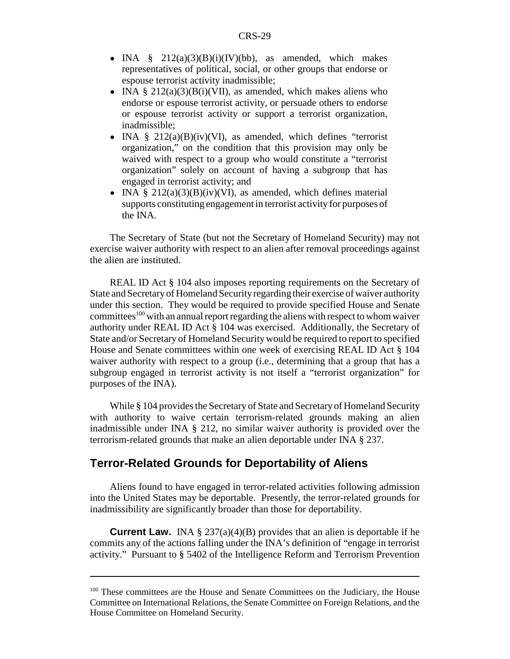- INA  $\S$  212(a)(3)(B)(i)(IV)(bb), as amended, which makes representatives of political, social, or other groups that endorse or espouse terrorist activity inadmissible;
- INA  $\S 212(a)(3)(B(i)(VII))$ , as amended, which makes aliens who endorse or espouse terrorist activity, or persuade others to endorse or espouse terrorist activity or support a terrorist organization, inadmissible;
- INA  $\S$  212(a)(B)(iv)(VI), as amended, which defines "terrorist organization," on the condition that this provision may only be waived with respect to a group who would constitute a "terrorist organization" solely on account of having a subgroup that has engaged in terrorist activity; and
- INA §  $212(a)(3)(B)(iv)(VI)$ , as amended, which defines material supports constituting engagement in terrorist activity for purposes of the INA.

The Secretary of State (but not the Secretary of Homeland Security) may not exercise waiver authority with respect to an alien after removal proceedings against the alien are instituted.

REAL ID Act § 104 also imposes reporting requirements on the Secretary of State and Secretary of Homeland Security regarding their exercise of waiver authority under this section. They would be required to provide specified House and Senate committees<sup>100</sup> with an annual report regarding the aliens with respect to whom waiver authority under REAL ID Act § 104 was exercised. Additionally, the Secretary of State and/or Secretary of Homeland Security would be required to report to specified House and Senate committees within one week of exercising REAL ID Act § 104 waiver authority with respect to a group (i.e., determining that a group that has a subgroup engaged in terrorist activity is not itself a "terrorist organization" for purposes of the INA).

While § 104 provides the Secretary of State and Secretary of Homeland Security with authority to waive certain terrorism-related grounds making an alien inadmissible under INA § 212, no similar waiver authority is provided over the terrorism-related grounds that make an alien deportable under INA § 237.

#### **Terror-Related Grounds for Deportability of Aliens**

Aliens found to have engaged in terror-related activities following admission into the United States may be deportable. Presently, the terror-related grounds for inadmissibility are significantly broader than those for deportability.

**Current Law.** INA § 237(a)(4)(B) provides that an alien is deportable if he commits any of the actions falling under the INA's definition of "engage in terrorist activity." Pursuant to § 5402 of the Intelligence Reform and Terrorism Prevention

<sup>&</sup>lt;sup>100</sup> These committees are the House and Senate Committees on the Judiciary, the House Committee on International Relations, the Senate Committee on Foreign Relations, and the House Committee on Homeland Security.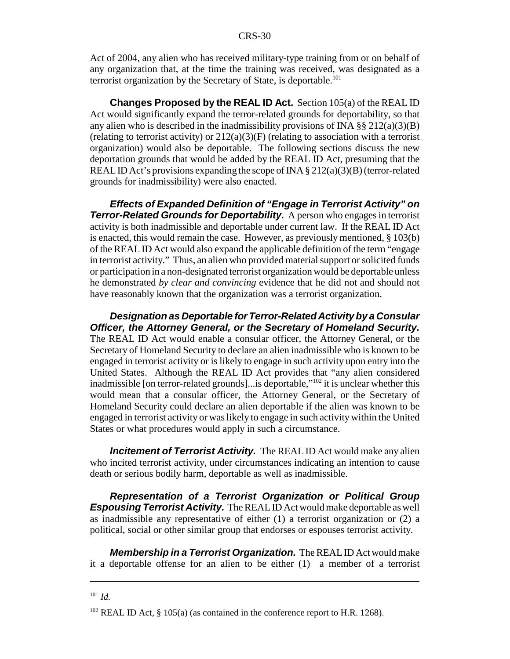Act of 2004, any alien who has received military-type training from or on behalf of any organization that, at the time the training was received, was designated as a terrorist organization by the Secretary of State, is deportable.<sup>101</sup>

**Changes Proposed by the REAL ID Act.** Section 105(a) of the REAL ID Act would significantly expand the terror-related grounds for deportability, so that any alien who is described in the inadmissibility provisions of INA  $\S$ § 212(a)(3)(B) (relating to terrorist activity) or  $212(a)(3)(F)$  (relating to association with a terrorist organization) would also be deportable. The following sections discuss the new deportation grounds that would be added by the REAL ID Act, presuming that the REAL ID Act's provisions expanding the scope of INA  $\S 212(a)(3)(B)$  (terror-related grounds for inadmissibility) were also enacted.

*Effects of Expanded Definition of "Engage in Terrorist Activity" on Terror-Related Grounds for Deportability. A person who engages in terrorist* activity is both inadmissible and deportable under current law. If the REAL ID Act is enacted, this would remain the case. However, as previously mentioned, § 103(b) of the REAL ID Act would also expand the applicable definition of the term "engage in terrorist activity." Thus, an alien who provided material support or solicited funds or participation in a non-designated terrorist organization would be deportable unless he demonstrated *by clear and convincing* evidence that he did not and should not have reasonably known that the organization was a terrorist organization.

*Designation as Deportable for Terror-Related Activity by a Consular Officer, the Attorney General, or the Secretary of Homeland Security.* The REAL ID Act would enable a consular officer, the Attorney General, or the Secretary of Homeland Security to declare an alien inadmissible who is known to be engaged in terrorist activity or is likely to engage in such activity upon entry into the United States. Although the REAL ID Act provides that "any alien considered inadmissible [on terror-related grounds]...is deportable,"102 it is unclear whether this would mean that a consular officer, the Attorney General, or the Secretary of Homeland Security could declare an alien deportable if the alien was known to be engaged in terrorist activity or was likely to engage in such activity within the United States or what procedures would apply in such a circumstance.

*Incitement of Terrorist Activity.* The REAL ID Act would make any alien who incited terrorist activity, under circumstances indicating an intention to cause death or serious bodily harm, deportable as well as inadmissible.

*Representation of a Terrorist Organization or Political Group Espousing Terrorist Activity.* The REAL ID Act would make deportable as well as inadmissible any representative of either (1) a terrorist organization or (2) a political, social or other similar group that endorses or espouses terrorist activity.

*Membership in a Terrorist Organization.* The REAL ID Act would make it a deportable offense for an alien to be either (1) a member of a terrorist

<sup>101</sup> *Id.*

 $102$  REAL ID Act, § 105(a) (as contained in the conference report to H.R. 1268).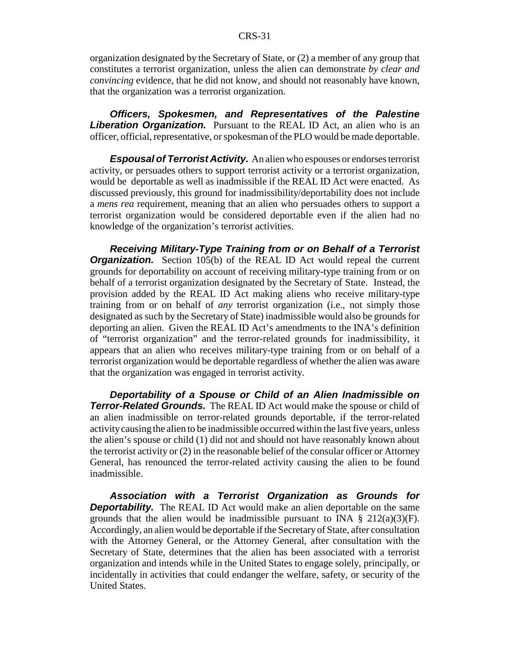#### CRS-31

organization designated by the Secretary of State, or (2) a member of any group that constitutes a terrorist organization, unless the alien can demonstrate *by clear and convincing* evidence, that he did not know, and should not reasonably have known, that the organization was a terrorist organization.

*Officers, Spokesmen, and Representatives of the Palestine* **Liberation Organization.** Pursuant to the REAL ID Act, an alien who is an officer, official, representative, or spokesman of the PLO would be made deportable.

*Espousal of Terrorist Activity.* An alien who espouses or endorses terrorist activity, or persuades others to support terrorist activity or a terrorist organization, would be deportable as well as inadmissible if the REAL ID Act were enacted. As discussed previously, this ground for inadmissibility/deportability does not include a *mens rea* requirement, meaning that an alien who persuades others to support a terrorist organization would be considered deportable even if the alien had no knowledge of the organization's terrorist activities.

*Receiving Military-Type Training from or on Behalf of a Terrorist* **Organization.** Section 105(b) of the REAL ID Act would repeal the current grounds for deportability on account of receiving military-type training from or on behalf of a terrorist organization designated by the Secretary of State. Instead, the provision added by the REAL ID Act making aliens who receive military-type training from or on behalf of *any* terrorist organization (i.e., not simply those designated as such by the Secretary of State) inadmissible would also be grounds for deporting an alien. Given the REAL ID Act's amendments to the INA's definition of "terrorist organization" and the terror-related grounds for inadmissibility, it appears that an alien who receives military-type training from or on behalf of a terrorist organization would be deportable regardless of whether the alien was aware that the organization was engaged in terrorist activity.

*Deportability of a Spouse or Child of an Alien Inadmissible on Terror-Related Grounds.* The REAL ID Act would make the spouse or child of an alien inadmissible on terror-related grounds deportable, if the terror-related activity causing the alien to be inadmissible occurred within the last five years, unless the alien's spouse or child (1) did not and should not have reasonably known about the terrorist activity or (2) in the reasonable belief of the consular officer or Attorney General, has renounced the terror-related activity causing the alien to be found inadmissible.

*Association with a Terrorist Organization as Grounds for* **Deportability.** The REAL ID Act would make an alien deportable on the same grounds that the alien would be inadmissible pursuant to INA  $\S$  212(a)(3)(F). Accordingly, an alien would be deportable if the Secretary of State, after consultation with the Attorney General, or the Attorney General, after consultation with the Secretary of State, determines that the alien has been associated with a terrorist organization and intends while in the United States to engage solely, principally, or incidentally in activities that could endanger the welfare, safety, or security of the United States.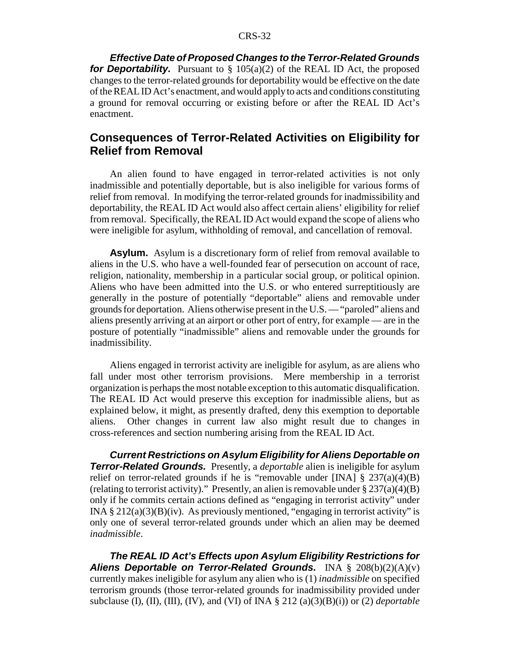*Effective Date of Proposed Changes to the Terror-Related Grounds for Deportability.* Pursuant to  $\S$  105(a)(2) of the REAL ID Act, the proposed changes to the terror-related grounds for deportability would be effective on the date of the REAL ID Act's enactment, and would apply to acts and conditions constituting a ground for removal occurring or existing before or after the REAL ID Act's enactment.

### **Consequences of Terror-Related Activities on Eligibility for Relief from Removal**

An alien found to have engaged in terror-related activities is not only inadmissible and potentially deportable, but is also ineligible for various forms of relief from removal. In modifying the terror-related grounds for inadmissibility and deportability, the REAL ID Act would also affect certain aliens' eligibility for relief from removal. Specifically, the REAL ID Act would expand the scope of aliens who were ineligible for asylum, withholding of removal, and cancellation of removal.

**Asylum.** Asylum is a discretionary form of relief from removal available to aliens in the U.S. who have a well-founded fear of persecution on account of race, religion, nationality, membership in a particular social group, or political opinion. Aliens who have been admitted into the U.S. or who entered surreptitiously are generally in the posture of potentially "deportable" aliens and removable under grounds for deportation. Aliens otherwise present in the U.S. — "paroled" aliens and aliens presently arriving at an airport or other port of entry, for example — are in the posture of potentially "inadmissible" aliens and removable under the grounds for inadmissibility.

Aliens engaged in terrorist activity are ineligible for asylum, as are aliens who fall under most other terrorism provisions. Mere membership in a terrorist organization is perhaps the most notable exception to this automatic disqualification. The REAL ID Act would preserve this exception for inadmissible aliens, but as explained below, it might, as presently drafted, deny this exemption to deportable aliens. Other changes in current law also might result due to changes in cross-references and section numbering arising from the REAL ID Act.

*Current Restrictions on Asylum Eligibility for Aliens Deportable on Terror-Related Grounds.* Presently, a *deportable* alien is ineligible for asylum relief on terror-related grounds if he is "removable under [INA]  $\S$  237(a)(4)(B) (relating to terrorist activity)." Presently, an alien is removable under  $\S 237(a)(4)(B)$ only if he commits certain actions defined as "engaging in terrorist activity" under INA  $\S 212(a)(3)(B)(iv)$ . As previously mentioned, "engaging in terrorist activity" is only one of several terror-related grounds under which an alien may be deemed *inadmissible*.

*The REAL ID Act's Effects upon Asylum Eligibility Restrictions for Aliens Deportable on Terror-Related Grounds.* INA § 208(b)(2)(A)(v) currently makes ineligible for asylum any alien who is (1) *inadmissible* on specified terrorism grounds (those terror-related grounds for inadmissibility provided under subclause (I), (II), (III), (IV), and (VI) of INA § 212 (a)(3)(B)(i)) or (2) *deportable*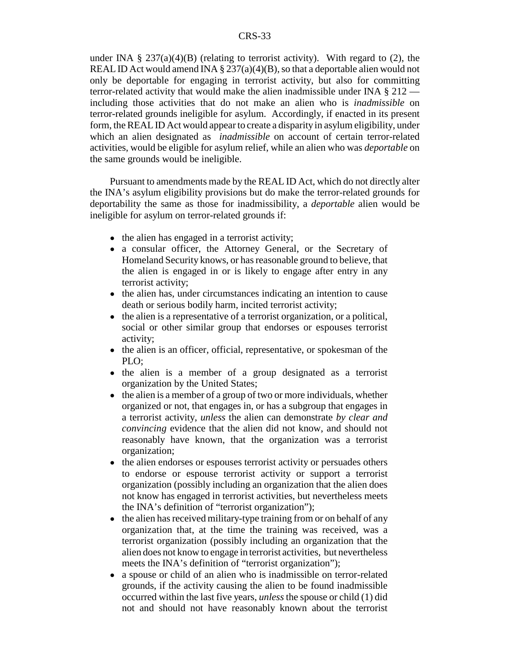under INA §  $237(a)(4)(B)$  (relating to terrorist activity). With regard to (2), the REAL ID Act would amend INA  $\S 237(a)(4)(B)$ , so that a deportable alien would not only be deportable for engaging in terrorist activity, but also for committing terror-related activity that would make the alien inadmissible under INA § 212 including those activities that do not make an alien who is *inadmissible* on terror-related grounds ineligible for asylum. Accordingly, if enacted in its present form, the REAL ID Act would appear to create a disparity in asylum eligibility, under which an alien designated as *inadmissible* on account of certain terror-related activities, would be eligible for asylum relief, while an alien who was *deportable* on the same grounds would be ineligible.

Pursuant to amendments made by the REAL ID Act, which do not directly alter the INA's asylum eligibility provisions but do make the terror-related grounds for deportability the same as those for inadmissibility, a *deportable* alien would be ineligible for asylum on terror-related grounds if:

- the alien has engaged in a terrorist activity;
- a consular officer, the Attorney General, or the Secretary of Homeland Security knows, or has reasonable ground to believe, that the alien is engaged in or is likely to engage after entry in any terrorist activity;
- the alien has, under circumstances indicating an intention to cause death or serious bodily harm, incited terrorist activity;
- the alien is a representative of a terrorist organization, or a political, social or other similar group that endorses or espouses terrorist activity;
- the alien is an officer, official, representative, or spokesman of the PLO;
- the alien is a member of a group designated as a terrorist organization by the United States;
- $\bullet$  the alien is a member of a group of two or more individuals, whether organized or not, that engages in, or has a subgroup that engages in a terrorist activity, *unless* the alien can demonstrate *by clear and convincing* evidence that the alien did not know, and should not reasonably have known, that the organization was a terrorist organization;
- the alien endorses or espouses terrorist activity or persuades others to endorse or espouse terrorist activity or support a terrorist organization (possibly including an organization that the alien does not know has engaged in terrorist activities, but nevertheless meets the INA's definition of "terrorist organization");
- the alien has received military-type training from or on behalf of any organization that, at the time the training was received, was a terrorist organization (possibly including an organization that the alien does not know to engage in terrorist activities, but nevertheless meets the INA's definition of "terrorist organization");
- a spouse or child of an alien who is inadmissible on terror-related grounds, if the activity causing the alien to be found inadmissible occurred within the last five years, *unless* the spouse or child (1) did not and should not have reasonably known about the terrorist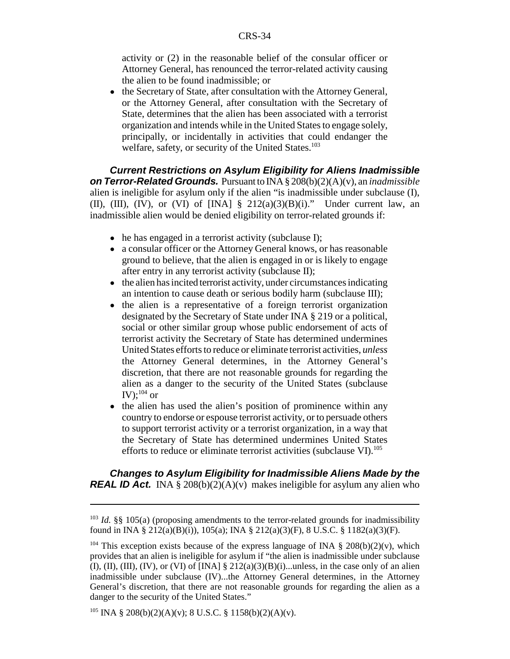activity or (2) in the reasonable belief of the consular officer or Attorney General, has renounced the terror-related activity causing the alien to be found inadmissible; or

• the Secretary of State, after consultation with the Attorney General, or the Attorney General, after consultation with the Secretary of State, determines that the alien has been associated with a terrorist organization and intends while in the United States to engage solely, principally, or incidentally in activities that could endanger the welfare, safety, or security of the United States.<sup>103</sup>

*Current Restrictions on Asylum Eligibility for Aliens Inadmissible on Terror-Related Grounds.* Pursuant to INA § 208(b)(2)(A)(v), an *inadmissible* alien is ineligible for asylum only if the alien "is inadmissible under subclause (I), (II), (III), (IV), or (VI) of  $[INA] \S 212(a)(3)(B)(i)$ ." Under current law, an inadmissible alien would be denied eligibility on terror-related grounds if:

- he has engaged in a terrorist activity (subclause I);
- a consular officer or the Attorney General knows, or has reasonable ground to believe, that the alien is engaged in or is likely to engage after entry in any terrorist activity (subclause II);
- $\bullet$  the alien has incited terrorist activity, under circumstances indicating an intention to cause death or serious bodily harm (subclause III);
- the alien is a representative of a foreign terrorist organization designated by the Secretary of State under INA § 219 or a political, social or other similar group whose public endorsement of acts of terrorist activity the Secretary of State has determined undermines United States efforts to reduce or eliminate terrorist activities, *unless* the Attorney General determines, in the Attorney General's discretion, that there are not reasonable grounds for regarding the alien as a danger to the security of the United States (subclause IV): $^{104}$  or
- the alien has used the alien's position of prominence within any country to endorse or espouse terrorist activity, or to persuade others to support terrorist activity or a terrorist organization, in a way that the Secretary of State has determined undermines United States efforts to reduce or eliminate terrorist activities (subclause VI).<sup>105</sup>

*Changes to Asylum Eligibility for Inadmissible Aliens Made by the REAL ID Act.* INA § 208(b)(2)(A)(v) makes ineligible for asylum any alien who

<sup>&</sup>lt;sup>103</sup> *Id.* §§ 105(a) (proposing amendments to the terror-related grounds for inadmissibility found in INA § 212(a)(B)(i)), 105(a); INA § 212(a)(3)(F), 8 U.S.C. § 1182(a)(3)(F).

This exception exists because of the express language of INA  $\S$  208(b)(2)(v), which provides that an alien is ineligible for asylum if "the alien is inadmissible under subclause (I), (II), (III), (IV), or (VI) of [INA]  $\S$  212(a)(3)(B)(i)...unless, in the case only of an alien inadmissible under subclause (IV)...the Attorney General determines, in the Attorney General's discretion, that there are not reasonable grounds for regarding the alien as a danger to the security of the United States."

<sup>&</sup>lt;sup>105</sup> INA § 208(b)(2)(A)(v); 8 U.S.C. § 1158(b)(2)(A)(v).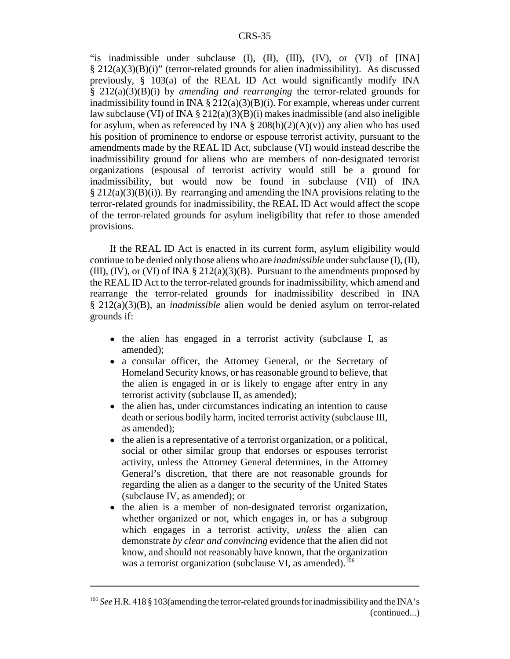"is inadmissible under subclause (I), (II), (III), (IV), or (VI) of [INA] § 212(a)(3)(B)(i)" (terror-related grounds for alien inadmissibility). As discussed previously,  $\S$  103(a) of the REAL ID Act would significantly modify INA § 212(a)(3)(B)(i) by *amending and rearranging* the terror-related grounds for inadmissibility found in INA  $\S 212(a)(3)(B)(i)$ . For example, whereas under current law subclause (VI) of INA § 212(a)(3)(B)(i) makes inadmissible (and also ineligible for asylum, when as referenced by INA  $\S$  208(b)(2)(A)(v)) any alien who has used his position of prominence to endorse or espouse terrorist activity, pursuant to the amendments made by the REAL ID Act, subclause (VI) would instead describe the inadmissibility ground for aliens who are members of non-designated terrorist organizations (espousal of terrorist activity would still be a ground for inadmissibility, but would now be found in subclause (VII) of INA § 212(a)(3)(B)(i)). By rearranging and amending the INA provisions relating to the terror-related grounds for inadmissibility, the REAL ID Act would affect the scope of the terror-related grounds for asylum ineligibility that refer to those amended provisions.

If the REAL ID Act is enacted in its current form, asylum eligibility would continue to be denied only those aliens who are *inadmissible* under subclause (I), (II), (III),  $(V)$ , or  $(V)$  of INA § 212(a)(3)(B). Pursuant to the amendments proposed by the REAL ID Act to the terror-related grounds for inadmissibility, which amend and rearrange the terror-related grounds for inadmissibility described in INA § 212(a)(3)(B), an *inadmissible* alien would be denied asylum on terror-related grounds if:

- the alien has engaged in a terrorist activity (subclause I, as amended);
- a consular officer, the Attorney General, or the Secretary of Homeland Security knows, or has reasonable ground to believe, that the alien is engaged in or is likely to engage after entry in any terrorist activity (subclause II, as amended);
- the alien has, under circumstances indicating an intention to cause death or serious bodily harm, incited terrorist activity (subclause III, as amended);
- the alien is a representative of a terrorist organization, or a political, social or other similar group that endorses or espouses terrorist activity, unless the Attorney General determines, in the Attorney General's discretion, that there are not reasonable grounds for regarding the alien as a danger to the security of the United States (subclause IV, as amended); or
- ! the alien is a member of non-designated terrorist organization, whether organized or not, which engages in, or has a subgroup which engages in a terrorist activity, *unless* the alien can demonstrate *by clear and convincing* evidence that the alien did not know, and should not reasonably have known, that the organization was a terrorist organization (subclause VI, as amended).<sup>106</sup>

<sup>106</sup> *See* H.R. 418 § 103(amending the terror-related grounds for inadmissibility and the INA's (continued...)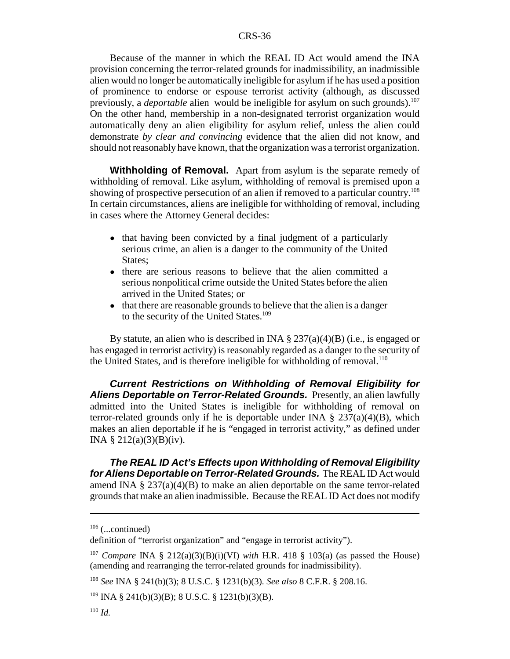Because of the manner in which the REAL ID Act would amend the INA provision concerning the terror-related grounds for inadmissibility, an inadmissible alien would no longer be automatically ineligible for asylum if he has used a position of prominence to endorse or espouse terrorist activity (although, as discussed previously, a *deportable* alien would be ineligible for asylum on such grounds).<sup>107</sup> On the other hand, membership in a non-designated terrorist organization would automatically deny an alien eligibility for asylum relief, unless the alien could demonstrate *by clear and convincing* evidence that the alien did not know, and should not reasonably have known, that the organization was a terrorist organization.

**Withholding of Removal.** Apart from asylum is the separate remedy of withholding of removal. Like asylum, withholding of removal is premised upon a showing of prospective persecution of an alien if removed to a particular country.<sup>108</sup> In certain circumstances, aliens are ineligible for withholding of removal, including in cases where the Attorney General decides:

- that having been convicted by a final judgment of a particularly serious crime, an alien is a danger to the community of the United States:
- there are serious reasons to believe that the alien committed a serious nonpolitical crime outside the United States before the alien arrived in the United States; or
- that there are reasonable grounds to believe that the alien is a danger to the security of the United States.<sup>109</sup>

By statute, an alien who is described in INA  $\S 237(a)(4)(B)$  (i.e., is engaged or has engaged in terrorist activity) is reasonably regarded as a danger to the security of the United States, and is therefore ineligible for withholding of removal.<sup>110</sup>

*Current Restrictions on Withholding of Removal Eligibility for Aliens Deportable on Terror-Related Grounds.* Presently, an alien lawfully admitted into the United States is ineligible for withholding of removal on terror-related grounds only if he is deportable under INA  $\S$  237(a)(4)(B), which makes an alien deportable if he is "engaged in terrorist activity," as defined under INA § 212(a)(3)(B)(iv).

*The REAL ID Act's Effects upon Withholding of Removal Eligibility for Aliens Deportable on Terror-Related Grounds.* The REAL ID Act would amend INA  $\S 237(a)(4)(B)$  to make an alien deportable on the same terror-related grounds that make an alien inadmissible. Because the REAL ID Act does not modify

 $106$  (...continued)

definition of "terrorist organization" and "engage in terrorist activity").

<sup>&</sup>lt;sup>107</sup> *Compare* INA § 212(a)(3)(B)(i)(VI) *with* H.R. 418 § 103(a) (as passed the House) (amending and rearranging the terror-related grounds for inadmissibility).

<sup>108</sup> *See* INA § 241(b)(3); 8 U.S.C. § 1231(b)(3). *See also* 8 C.F.R. § 208.16.

 $109$  INA § 241(b)(3)(B); 8 U.S.C. § 1231(b)(3)(B).

<sup>110</sup> *Id.*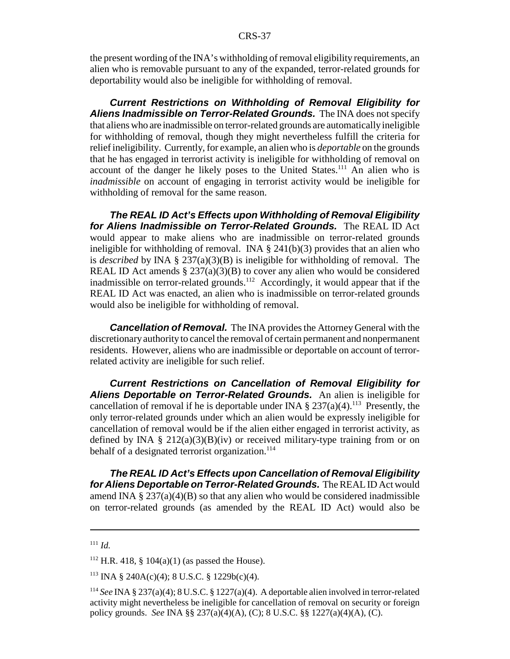the present wording of the INA's withholding of removal eligibility requirements, an alien who is removable pursuant to any of the expanded, terror-related grounds for deportability would also be ineligible for withholding of removal.

*Current Restrictions on Withholding of Removal Eligibility for Aliens Inadmissible on Terror-Related Grounds.* The INA does not specify that aliens who are inadmissible on terror-related grounds are automatically ineligible for withholding of removal, though they might nevertheless fulfill the criteria for relief ineligibility. Currently, for example, an alien who is *deportable* on the grounds that he has engaged in terrorist activity is ineligible for withholding of removal on account of the danger he likely poses to the United States.<sup>111</sup> An alien who is *inadmissible* on account of engaging in terrorist activity would be ineligible for withholding of removal for the same reason.

*The REAL ID Act's Effects upon Withholding of Removal Eligibility for Aliens Inadmissible on Terror-Related Grounds.* The REAL ID Act would appear to make aliens who are inadmissible on terror-related grounds ineligible for withholding of removal. INA  $\S$  241(b)(3) provides that an alien who is *described* by INA § 237(a)(3)(B) is ineligible for withholding of removal. The REAL ID Act amends  $\S 237(a)(3)(B)$  to cover any alien who would be considered inadmissible on terror-related grounds.<sup>112</sup> Accordingly, it would appear that if the REAL ID Act was enacted, an alien who is inadmissible on terror-related grounds would also be ineligible for withholding of removal.

*Cancellation of Removal.* The INA provides the Attorney General with the discretionary authority to cancel the removal of certain permanent and nonpermanent residents. However, aliens who are inadmissible or deportable on account of terrorrelated activity are ineligible for such relief.

*Current Restrictions on Cancellation of Removal Eligibility for Aliens Deportable on Terror-Related Grounds.* An alien is ineligible for cancellation of removal if he is deportable under INA  $\S 237(a)(4)$ .<sup>113</sup> Presently, the only terror-related grounds under which an alien would be expressly ineligible for cancellation of removal would be if the alien either engaged in terrorist activity, as defined by INA §  $212(a)(3)(B)(iv)$  or received military-type training from or on behalf of a designated terrorist organization.<sup>114</sup>

*The REAL ID Act's Effects upon Cancellation of Removal Eligibility for Aliens Deportable on Terror-Related Grounds.* The REAL ID Act would amend INA  $\S 237(a)(4)(B)$  so that any alien who would be considered inadmissible on terror-related grounds (as amended by the REAL ID Act) would also be

<sup>111</sup> *Id.*

 $112$  H.R. 418, § 104(a)(1) (as passed the House).

<sup>&</sup>lt;sup>113</sup> INA § 240A(c)(4); 8 U.S.C. § 1229b(c)(4).

<sup>114</sup> *See* INA § 237(a)(4); 8 U.S.C. § 1227(a)(4). A deportable alien involved in terror-related activity might nevertheless be ineligible for cancellation of removal on security or foreign policy grounds. *See* INA §§ 237(a)(4)(A), (C); 8 U.S.C. §§ 1227(a)(4)(A), (C).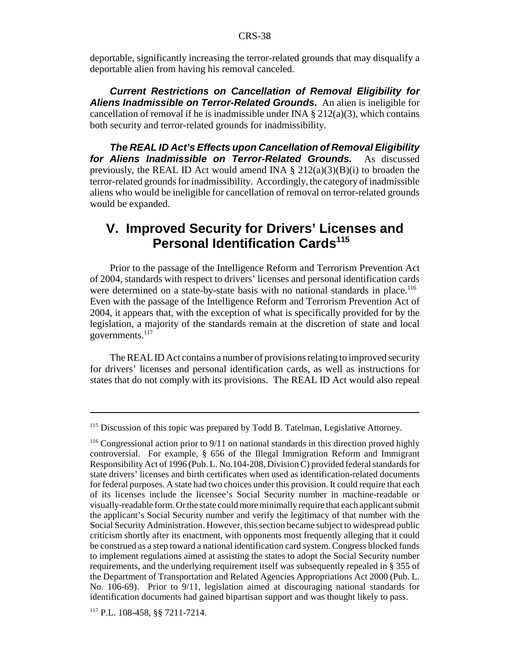deportable, significantly increasing the terror-related grounds that may disqualify a deportable alien from having his removal canceled.

*Current Restrictions on Cancellation of Removal Eligibility for Aliens Inadmissible on Terror-Related Grounds.* An alien is ineligible for cancellation of removal if he is inadmissible under INA  $\S 212(a)(3)$ , which contains both security and terror-related grounds for inadmissibility.

*The REAL ID Act's Effects upon Cancellation of Removal Eligibility for Aliens Inadmissible on Terror-Related Grounds.* As discussed previously, the REAL ID Act would amend INA  $\S 212(a)(3)(B)(i)$  to broaden the terror-related grounds for inadmissibility. Accordingly, the category of inadmissible aliens who would be ineligible for cancellation of removal on terror-related grounds would be expanded.

### **V. Improved Security for Drivers' Licenses and Personal Identification Cards115**

Prior to the passage of the Intelligence Reform and Terrorism Prevention Act of 2004, standards with respect to drivers' licenses and personal identification cards were determined on a state-by-state basis with no national standards in place.<sup>116</sup> Even with the passage of the Intelligence Reform and Terrorism Prevention Act of 2004, it appears that, with the exception of what is specifically provided for by the legislation, a majority of the standards remain at the discretion of state and local governments. $117$ 

The REAL ID Act contains a number of provisions relating to improved security for drivers' licenses and personal identification cards, as well as instructions for states that do not comply with its provisions. The REAL ID Act would also repeal

<sup>&</sup>lt;sup>115</sup> Discussion of this topic was prepared by Todd B. Tatelman, Legislative Attorney.

<sup>&</sup>lt;sup>116</sup> Congressional action prior to 9/11 on national standards in this direction proved highly controversial. For example, § 656 of the Illegal Immigration Reform and Immigrant Responsibility Act of 1996 (Pub. L. No.104-208, Division C) provided federal standards for state drivers' licenses and birth certificates when used as identification-related documents for federal purposes. A state had two choices under this provision. It could require that each of its licenses include the licensee's Social Security number in machine-readable or visually-readable form. Or the state could more minimally require that each applicant submit the applicant's Social Security number and verify the legitimacy of that number with the Social Security Administration. However, this section became subject to widespread public criticism shortly after its enactment, with opponents most frequently alleging that it could be construed as a step toward a national identification card system. Congress blocked funds to implement regulations aimed at assisting the states to adopt the Social Security number requirements, and the underlying requirement itself was subsequently repealed in § 355 of the Department of Transportation and Related Agencies Appropriations Act 2000 (Pub. L. No. 106-69). Prior to 9/11, legislation aimed at discouraging national standards for identification documents had gained bipartisan support and was thought likely to pass.

<sup>117</sup> P.L. 108-458, §§ 7211-7214.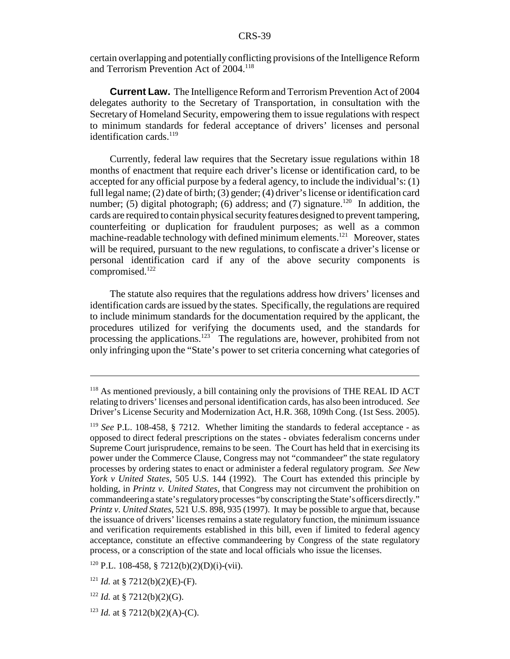certain overlapping and potentially conflicting provisions of the Intelligence Reform and Terrorism Prevention Act of 2004.<sup>118</sup>

**Current Law.** The Intelligence Reform and Terrorism Prevention Act of 2004 delegates authority to the Secretary of Transportation, in consultation with the Secretary of Homeland Security, empowering them to issue regulations with respect to minimum standards for federal acceptance of drivers' licenses and personal identification cards.<sup>119</sup>

Currently, federal law requires that the Secretary issue regulations within 18 months of enactment that require each driver's license or identification card, to be accepted for any official purpose by a federal agency, to include the individual's: (1) full legal name; (2) date of birth; (3) gender; (4) driver's license or identification card number; (5) digital photograph; (6) address; and (7) signature.<sup>120</sup> In addition, the cards are required to contain physical security features designed to prevent tampering, counterfeiting or duplication for fraudulent purposes; as well as a common machine-readable technology with defined minimum elements.<sup>121</sup> Moreover, states will be required, pursuant to the new regulations, to confiscate a driver's license or personal identification card if any of the above security components is compromised.122

The statute also requires that the regulations address how drivers' licenses and identification cards are issued by the states. Specifically, the regulations are required to include minimum standards for the documentation required by the applicant, the procedures utilized for verifying the documents used, and the standards for processing the applications.<sup>123</sup> The regulations are, however, prohibited from not only infringing upon the "State's power to set criteria concerning what categories of

<sup>118</sup> As mentioned previously, a bill containing only the provisions of THE REAL ID ACT relating to drivers' licenses and personal identification cards, has also been introduced. *See* Driver's License Security and Modernization Act, H.R. 368, 109th Cong. (1st Sess. 2005).

<sup>119</sup> *See* P.L. 108-458, § 7212. Whether limiting the standards to federal acceptance - as opposed to direct federal prescriptions on the states - obviates federalism concerns under Supreme Court jurisprudence, remains to be seen. The Court has held that in exercising its power under the Commerce Clause, Congress may not "commandeer" the state regulatory processes by ordering states to enact or administer a federal regulatory program. *See New York v United States*, 505 U.S. 144 (1992). The Court has extended this principle by holding, in *Printz v. United States*, that Congress may not circumvent the prohibition on commandeering a state's regulatory processes "by conscripting the State's officers directly." *Printz v. United States*, 521 U.S. 898, 935 (1997). It may be possible to argue that, because the issuance of drivers' licenses remains a state regulatory function, the minimum issuance and verification requirements established in this bill, even if limited to federal agency acceptance, constitute an effective commandeering by Congress of the state regulatory process, or a conscription of the state and local officials who issue the licenses.

 $120$  P.L. 108-458, § 7212(b)(2)(D)(i)-(vii).

<sup>&</sup>lt;sup>121</sup> *Id.* at § 7212(b)(2)(E)-(F).

<sup>&</sup>lt;sup>122</sup> *Id.* at § 7212(b)(2)(G).

<sup>&</sup>lt;sup>123</sup> *Id.* at § 7212(b)(2)(A)-(C).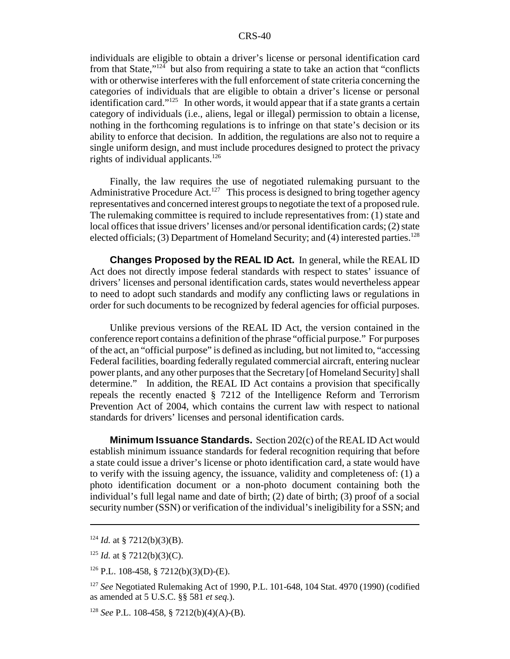individuals are eligible to obtain a driver's license or personal identification card from that State," $124$  but also from requiring a state to take an action that "conflicts" with or otherwise interferes with the full enforcement of state criteria concerning the categories of individuals that are eligible to obtain a driver's license or personal identification card."<sup>125</sup> In other words, it would appear that if a state grants a certain category of individuals (i.e., aliens, legal or illegal) permission to obtain a license, nothing in the forthcoming regulations is to infringe on that state's decision or its ability to enforce that decision. In addition, the regulations are also not to require a single uniform design, and must include procedures designed to protect the privacy rights of individual applicants.<sup>126</sup>

Finally, the law requires the use of negotiated rulemaking pursuant to the Administrative Procedure Act.<sup>127</sup> This process is designed to bring together agency representatives and concerned interest groups to negotiate the text of a proposed rule. The rulemaking committee is required to include representatives from: (1) state and local offices that issue drivers' licenses and/or personal identification cards; (2) state elected officials; (3) Department of Homeland Security; and (4) interested parties.<sup>128</sup>

**Changes Proposed by the REAL ID Act.** In general, while the REAL ID Act does not directly impose federal standards with respect to states' issuance of drivers' licenses and personal identification cards, states would nevertheless appear to need to adopt such standards and modify any conflicting laws or regulations in order for such documents to be recognized by federal agencies for official purposes.

Unlike previous versions of the REAL ID Act, the version contained in the conference report contains a definition of the phrase "official purpose." For purposes of the act, an "official purpose" is defined as including, but not limited to, "accessing Federal facilities, boarding federally regulated commercial aircraft, entering nuclear power plants, and any other purposes that the Secretary [of Homeland Security] shall determine." In addition, the REAL ID Act contains a provision that specifically repeals the recently enacted § 7212 of the Intelligence Reform and Terrorism Prevention Act of 2004, which contains the current law with respect to national standards for drivers' licenses and personal identification cards.

**Minimum Issuance Standards.** Section 202(c) of the REAL ID Act would establish minimum issuance standards for federal recognition requiring that before a state could issue a driver's license or photo identification card, a state would have to verify with the issuing agency, the issuance, validity and completeness of: (1) a photo identification document or a non-photo document containing both the individual's full legal name and date of birth; (2) date of birth; (3) proof of a social security number (SSN) or verification of the individual's ineligibility for a SSN; and

 $124$  *Id.* at § 7212(b)(3)(B).

<sup>&</sup>lt;sup>125</sup> *Id.* at § 7212(b)(3)(C).

<sup>126</sup> P.L. 108-458, § 7212(b)(3)(D)-(E).

<sup>127</sup> *See* Negotiated Rulemaking Act of 1990, P.L. 101-648, 104 Stat. 4970 (1990) (codified as amended at 5 U.S.C. §§ 581 *et seq.*).

<sup>128</sup> *See* P.L. 108-458, § 7212(b)(4)(A)-(B).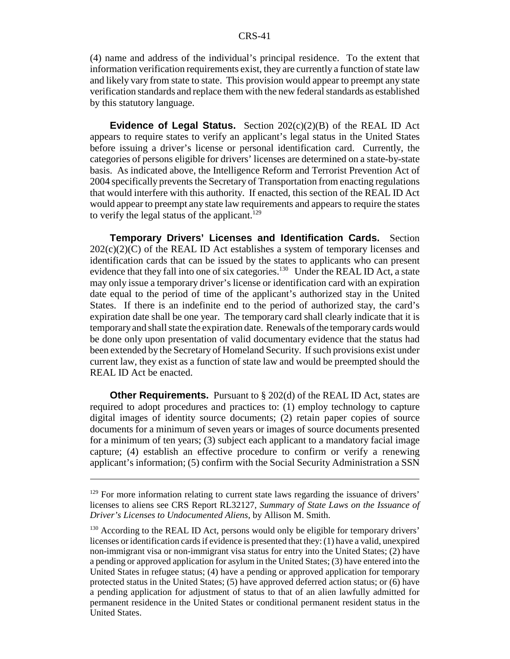#### CRS-41

(4) name and address of the individual's principal residence. To the extent that information verification requirements exist, they are currently a function of state law and likely vary from state to state. This provision would appear to preempt any state verification standards and replace them with the new federal standards as established by this statutory language.

**Evidence of Legal Status.** Section 202(c)(2)(B) of the REAL ID Act appears to require states to verify an applicant's legal status in the United States before issuing a driver's license or personal identification card. Currently, the categories of persons eligible for drivers' licenses are determined on a state-by-state basis. As indicated above, the Intelligence Reform and Terrorist Prevention Act of 2004 specifically prevents the Secretary of Transportation from enacting regulations that would interfere with this authority. If enacted, this section of the REAL ID Act would appear to preempt any state law requirements and appears to require the states to verify the legal status of the applicant.<sup>129</sup>

**Temporary Drivers' Licenses and Identification Cards.** Section  $202(c)(2)(C)$  of the REAL ID Act establishes a system of temporary licenses and identification cards that can be issued by the states to applicants who can present evidence that they fall into one of six categories.<sup>130</sup> Under the REAL ID Act, a state may only issue a temporary driver's license or identification card with an expiration date equal to the period of time of the applicant's authorized stay in the United States. If there is an indefinite end to the period of authorized stay, the card's expiration date shall be one year. The temporary card shall clearly indicate that it is temporary and shall state the expiration date. Renewals of the temporary cards would be done only upon presentation of valid documentary evidence that the status had been extended by the Secretary of Homeland Security. If such provisions exist under current law, they exist as a function of state law and would be preempted should the REAL ID Act be enacted.

**Other Requirements.** Pursuant to § 202(d) of the REAL ID Act, states are required to adopt procedures and practices to: (1) employ technology to capture digital images of identity source documents; (2) retain paper copies of source documents for a minimum of seven years or images of source documents presented for a minimum of ten years; (3) subject each applicant to a mandatory facial image capture; (4) establish an effective procedure to confirm or verify a renewing applicant's information; (5) confirm with the Social Security Administration a SSN

<sup>&</sup>lt;sup>129</sup> For more information relating to current state laws regarding the issuance of drivers' licenses to aliens see CRS Report RL32127, *Summary of State Laws on the Issuance of Driver's Licenses to Undocumented Aliens*, by Allison M. Smith.

 $130$  According to the REAL ID Act, persons would only be eligible for temporary drivers' licenses or identification cards if evidence is presented that they: (1) have a valid, unexpired non-immigrant visa or non-immigrant visa status for entry into the United States; (2) have a pending or approved application for asylum in the United States; (3) have entered into the United States in refugee status; (4) have a pending or approved application for temporary protected status in the United States; (5) have approved deferred action status; or (6) have a pending application for adjustment of status to that of an alien lawfully admitted for permanent residence in the United States or conditional permanent resident status in the United States.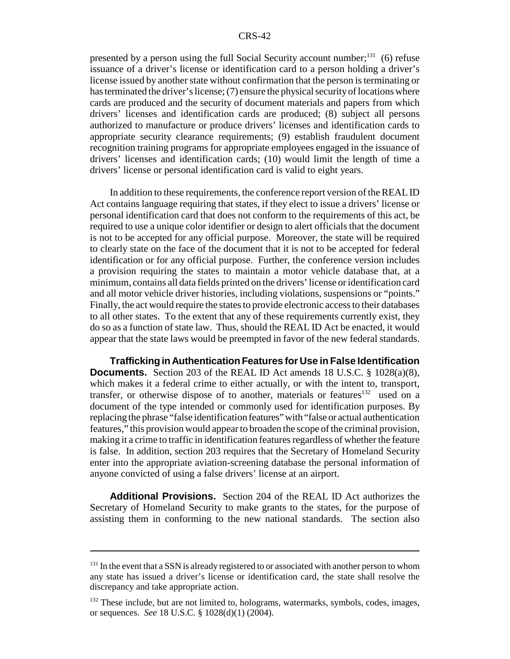presented by a person using the full Social Security account number; $^{131}$  (6) refuse issuance of a driver's license or identification card to a person holding a driver's license issued by another state without confirmation that the person is terminating or has terminated the driver's license; (7) ensure the physical security of locations where cards are produced and the security of document materials and papers from which drivers' licenses and identification cards are produced; (8) subject all persons authorized to manufacture or produce drivers' licenses and identification cards to appropriate security clearance requirements; (9) establish fraudulent document recognition training programs for appropriate employees engaged in the issuance of drivers' licenses and identification cards; (10) would limit the length of time a drivers' license or personal identification card is valid to eight years.

In addition to these requirements, the conference report version of the REAL ID Act contains language requiring that states, if they elect to issue a drivers' license or personal identification card that does not conform to the requirements of this act, be required to use a unique color identifier or design to alert officials that the document is not to be accepted for any official purpose. Moreover, the state will be required to clearly state on the face of the document that it is not to be accepted for federal identification or for any official purpose. Further, the conference version includes a provision requiring the states to maintain a motor vehicle database that, at a minimum, contains all data fields printed on the drivers' license or identification card and all motor vehicle driver histories, including violations, suspensions or "points." Finally, the act would require the states to provide electronic access to their databases to all other states. To the extent that any of these requirements currently exist, they do so as a function of state law. Thus, should the REAL ID Act be enacted, it would appear that the state laws would be preempted in favor of the new federal standards.

**Trafficking in Authentication Features for Use in False Identification Documents.** Section 203 of the REAL ID Act amends 18 U.S.C. § 1028(a)(8), which makes it a federal crime to either actually, or with the intent to, transport, transfer, or otherwise dispose of to another, materials or features<sup>132</sup> used on a document of the type intended or commonly used for identification purposes. By replacing the phrase "false identification features" with "false or actual authentication features," this provision would appear to broaden the scope of the criminal provision, making it a crime to traffic in identification features regardless of whether the feature is false. In addition, section 203 requires that the Secretary of Homeland Security enter into the appropriate aviation-screening database the personal information of anyone convicted of using a false drivers' license at an airport.

**Additional Provisions.** Section 204 of the REAL ID Act authorizes the Secretary of Homeland Security to make grants to the states, for the purpose of assisting them in conforming to the new national standards. The section also

 $131$  In the event that a SSN is already registered to or associated with another person to whom any state has issued a driver's license or identification card, the state shall resolve the discrepancy and take appropriate action.

<sup>&</sup>lt;sup>132</sup> These include, but are not limited to, holograms, watermarks, symbols, codes, images, or sequences. *See* 18 U.S.C. § 1028(d)(1) (2004).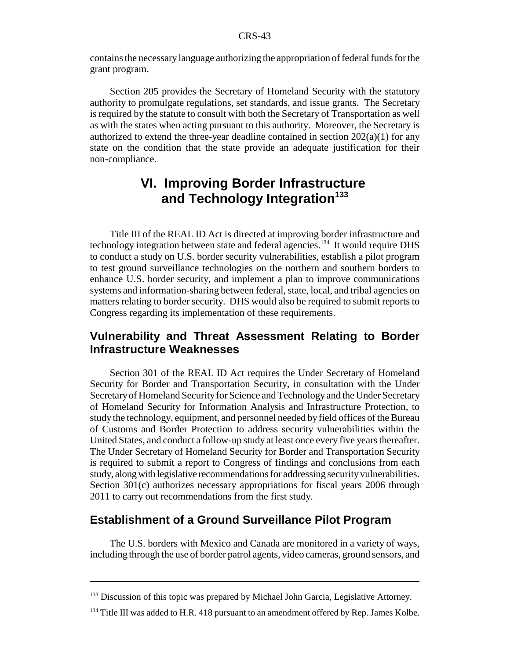contains the necessary language authorizing the appropriation of federal funds for the grant program.

Section 205 provides the Secretary of Homeland Security with the statutory authority to promulgate regulations, set standards, and issue grants. The Secretary is required by the statute to consult with both the Secretary of Transportation as well as with the states when acting pursuant to this authority. Moreover, the Secretary is authorized to extend the three-year deadline contained in section  $202(a)(1)$  for any state on the condition that the state provide an adequate justification for their non-compliance.

### **VI. Improving Border Infrastructure**  and Technology Integration<sup>133</sup>

Title III of the REAL ID Act is directed at improving border infrastructure and technology integration between state and federal agencies.<sup>134</sup> It would require DHS to conduct a study on U.S. border security vulnerabilities, establish a pilot program to test ground surveillance technologies on the northern and southern borders to enhance U.S. border security, and implement a plan to improve communications systems and information-sharing between federal, state, local, and tribal agencies on matters relating to border security. DHS would also be required to submit reports to Congress regarding its implementation of these requirements.

### **Vulnerability and Threat Assessment Relating to Border Infrastructure Weaknesses**

Section 301 of the REAL ID Act requires the Under Secretary of Homeland Security for Border and Transportation Security, in consultation with the Under Secretary of Homeland Security for Science and Technology and the Under Secretary of Homeland Security for Information Analysis and Infrastructure Protection, to study the technology, equipment, and personnel needed by field offices of the Bureau of Customs and Border Protection to address security vulnerabilities within the United States, and conduct a follow-up study at least once every five years thereafter. The Under Secretary of Homeland Security for Border and Transportation Security is required to submit a report to Congress of findings and conclusions from each study, along with legislative recommendations for addressing security vulnerabilities. Section 301(c) authorizes necessary appropriations for fiscal years 2006 through 2011 to carry out recommendations from the first study.

### **Establishment of a Ground Surveillance Pilot Program**

The U.S. borders with Mexico and Canada are monitored in a variety of ways, including through the use of border patrol agents, video cameras, ground sensors, and

<sup>&</sup>lt;sup>133</sup> Discussion of this topic was prepared by Michael John Garcia, Legislative Attorney.

<sup>&</sup>lt;sup>134</sup> Title III was added to H.R. 418 pursuant to an amendment offered by Rep. James Kolbe.